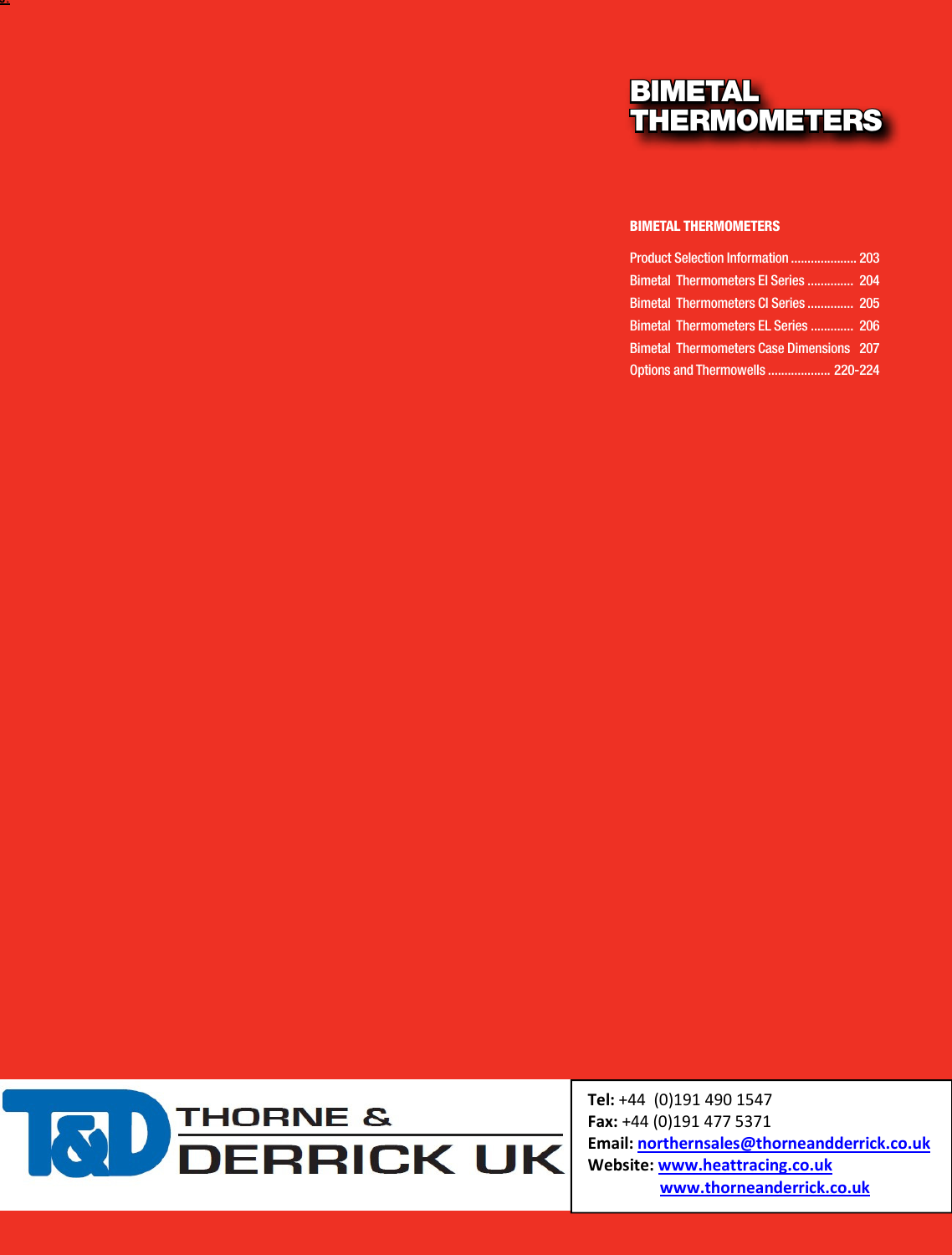### BIMETAL THERMOMETERS

#### BIMETAL THERMOMETERS

| Product Selection Information  203              |  |
|-------------------------------------------------|--|
| <b>Bimetal Thermometers El Series  204</b>      |  |
| <b>Bimetal Thermometers CI Series  205</b>      |  |
| <b>Bimetal Thermometers EL Series  206</b>      |  |
| <b>Bimetal Thermometers Case Dimensions 207</b> |  |
| Options and Thermowells  220-224                |  |



DIRECT

*Phone (203) 378-8281 or visit our* 

*Consult factory for guidance in product selection*  Tel: +44 (0)191 490 1547 Fax: +44 (0)191 477 5371 Email: northernsales@thorneandderrick.co.uk Website: www.heattracing.co.uk www.thorneanderrick.co.uk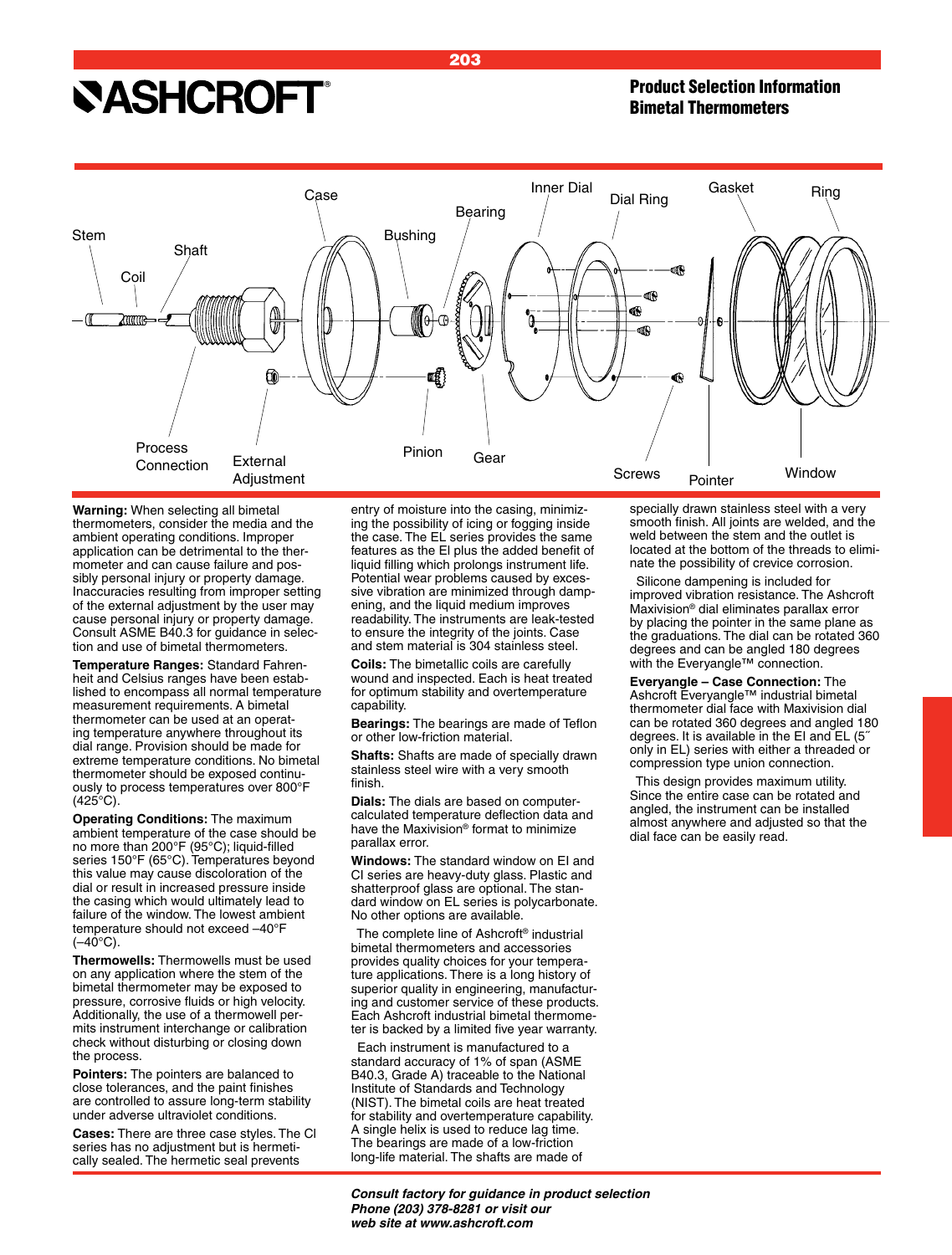## **SASHCROFT®**

### Product Selection Information Bimetal Thermometers



**Warning:** When selecting all bimetal thermometers, consider the media and the ambient operating conditions. Improper application can be detrimental to the thermometer and can cause failure and possibly personal injury or property damage. Inaccuracies resulting from improper setting of the external adjustment by the user may cause personal injury or property damage. Consult ASME B40.3 for guidance in selection and use of bimetal thermometers.

**Temperature Ranges:** Standard Fahrenheit and Celsius ranges have been established to encompass all normal temperature measurement requirements. A bimetal thermometer can be used at an operating temperature anywhere throughout its dial range. Provision should be made for extreme temperature conditions. No bimetal thermometer should be exposed continuously to process temperatures over 800°F (425°C).

**Operating Conditions:** The maximum ambient temperature of the case should be no more than 200°F (95°C); liquid-filled series 150°F (65°C). Temperatures beyond this value may cause discoloration of the dial or result in increased pressure inside the casing which would ultimately lead to failure of the window. The lowest ambient temperature should not exceed –40°F  $(-40^{\circ}C)$ .

**Thermowells:** Thermowells must be used on any application where the stem of the bimetal thermometer may be exposed to pressure, corrosive fluids or high velocity. Additionally, the use of a thermowell permits instrument interchange or calibration check without disturbing or closing down the process.

**Pointers:** The pointers are balanced to close tolerances, and the paint finishes are controlled to assure long-term stability under adverse ultraviolet conditions.

**Cases:** There are three case styles. The Cl series has no adjustment but is hermetically sealed. The hermetic seal prevents

entry of moisture into the casing, minimizing the possibility of icing or fogging inside the case. The EL series provides the same features as the El plus the added benefit of liquid filling which prolongs instrument life. Potential wear problems caused by excessive vibration are minimized through dampening, and the liquid medium improves readability. The instruments are leak-tested to ensure the integrity of the joints. Case and stem material is 304 stainless steel.

**Coils:** The bimetallic coils are carefully wound and inspected. Each is heat treated for optimum stability and overtemperature capability.

**Bearings:** The bearings are made of Teflon or other low-friction material.

**Shafts:** Shafts are made of specially drawn stainless steel wire with a very smooth finish.

**Dials:** The dials are based on computercalculated temperature deflection data and have the Maxivision® format to minimize parallax error.

**Windows:** The standard window on EI and CI series are heavy-duty glass. Plastic and shatterproof glass are optional. The standard window on EL series is polycarbonate. No other options are available.

The complete line of Ashcroft® industrial bimetal thermometers and accessories provides quality choices for your temperature applications. There is a long history of superior quality in engineering, manufacturing and customer service of these products. Each Ashcroft industrial bimetal thermometer is backed by a limited five year warranty.

Each instrument is manufactured to a standard accuracy of 1% of span (ASME B40.3, Grade A) traceable to the National Institute of Standards and Technology (NIST). The bimetal coils are heat treated for stability and overtemperature capability. A single helix is used to reduce lag time. The bearings are made of a low-friction long-life material. The shafts are made of

specially drawn stainless steel with a very smooth finish. All joints are welded, and the weld between the stem and the outlet is located at the bottom of the threads to eliminate the possibility of crevice corrosion.

Silicone dampening is included for improved vibration resistance. The Ashcroft Maxivision® dial eliminates parallax error by placing the pointer in the same plane as the graduations. The dial can be rotated 360 degrees and can be angled 180 degrees with the Everyangle™ connection.

**Everyangle – Case Connection:** The Ashcroft Everyangle™ industrial bimetal thermometer dial face with Maxivision dial can be rotated 360 degrees and angled 180 degrees. It is available in the EI and EL (5˝ only in EL) series with either a threaded or compression type union connection.

This design provides maximum utility. Since the entire case can be rotated and angled, the instrument can be installed almost anywhere and adjusted so that the dial face can be easily read.

*Consult factory for guidance in product selection Phone (203) 378-8281 or visit our web site at www.ashcroft.com*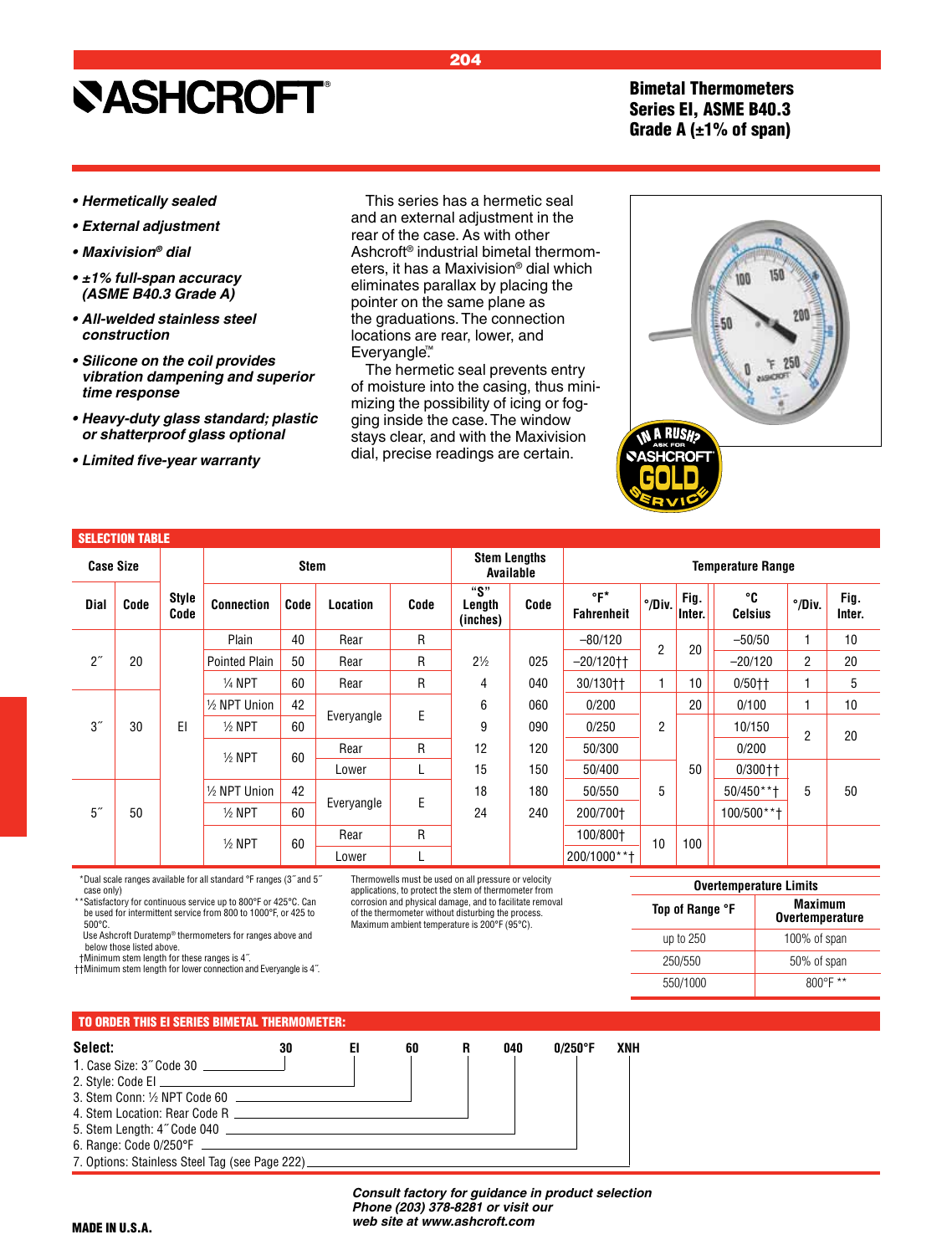Bimetal Thermometers Series EI, ASME B40.3 Grade A  $(\pm 1\%$  of span)

- **Hermetically sealed**
- **External adjustment**
- **Maxivision***® dial*
- **±1% full-span accuracy (ASME B40.3 Grade A)**
- **All-welded stainless steel**  *construction*
- **Silicone on the coil provides**  *vibration dampening and superior time response*
- **Heavy-duty glass standard; plastic**  *or shatterproof glass optional*
- **Limited five-year warranty**

SELECTION TABLE

This series has a hermetic seal and an external adjustment in the rear of the case. As with other Ashcroft® industrial bimetal thermometers, it has a  $N$ eliminates para pointer on the s the graduations locations are re Everyangle<sup>™</sup>

204

The hermetic of moisture into mizing the poss ging inside the stays clear, and dial, precise rea

|                           | ⁄laxivision® dial which<br>allax by placing the<br>same plane as<br>s. The connection<br>ear, lower, and<br>c seal prevents entry<br>the casing, thus mini-<br>sibility of icing or fog-<br>case. The window<br>d with the Maxivision<br>adings are certain. |                          | <b>NASHCROFT</b> |                |                          |        |                 |
|---------------------------|--------------------------------------------------------------------------------------------------------------------------------------------------------------------------------------------------------------------------------------------------------------|--------------------------|------------------|----------------|--------------------------|--------|-----------------|
|                           | <b>Stem Lengths</b><br>Available                                                                                                                                                                                                                             |                          |                  |                | <b>Temperature Range</b> |        |                 |
| "S"<br>Length<br>(inches) | Code                                                                                                                                                                                                                                                         | °F*<br><b>Fahrenheit</b> | °/Div.           | Fig.<br>Inter. | °C<br><b>Celsius</b>     | °/Div. | Fig.<br>Inter.  |
|                           |                                                                                                                                                                                                                                                              | 00/100                   |                  |                | <b>EO</b> IEO            | н.     | $\overline{10}$ |

| <b>Case Size</b>      |      |                      | <b>Stem Lengths</b><br><b>Stem</b><br><b>Temperature Range</b><br>Available |      |            |      |                           |      |                          |                  |                |                      |                  |                |
|-----------------------|------|----------------------|-----------------------------------------------------------------------------|------|------------|------|---------------------------|------|--------------------------|------------------|----------------|----------------------|------------------|----------------|
| <b>Dial</b>           | Code | <b>Style</b><br>Code | <b>Connection</b>                                                           | Code | Location   | Code | "S"<br>Length<br>(inches) | Code | °F*<br><b>Fahrenheit</b> | $^{\circ}/$ Div. | Fig.<br>Inter. | ℃<br><b>Celsius</b>  | $^{\circ}/$ Div. | Fig.<br>Inter. |
|                       |      |                      | Plain                                                                       | 40   | Rear       | R    |                           |      | $-80/120$                | $\overline{2}$   | 20             | $-50/50$             |                  | 10             |
| $2^{\prime\prime}$    | 20   |                      | <b>Pointed Plain</b>                                                        | 50   | Rear       | R    | $2\frac{1}{2}$            | 025  | $-20/120$ tt             |                  |                | $-20/120$            | 2                | 20             |
|                       |      |                      | $\frac{1}{4}$ NPT                                                           | 60   | Rear       | R    | 4                         | 040  | 30/130††                 | 1                | 10             | $0/50$ <sup>++</sup> |                  | 5              |
|                       |      |                      | 1/2 NPT Union                                                               | 42   |            |      | 6                         | 060  | 0/200                    |                  | 20             | 0/100                |                  | 10             |
| 3 <sup>''</sup>       | 30   | EI                   | $\frac{1}{2}$ NPT                                                           | 60   | Everyangle | E    | 9                         | 090  | 0/250                    | 2                |                | 10/150               | $\overline{2}$   | 20             |
|                       |      |                      | $\frac{1}{2}$ NPT                                                           | 60   | Rear       | R    | 12                        | 120  | 50/300                   |                  |                | 0/200                |                  |                |
|                       |      |                      |                                                                             |      | Lower      |      | 15                        | 150  | 50/400                   |                  | 50             | $0/300 + 1$          |                  |                |
|                       |      |                      | 1/2 NPT Union                                                               | 42   |            |      | 18                        | 180  | 50/550                   | 5                |                | $50/450**$ +         | 5                | 50             |
| 5 <sup>''</sup><br>50 |      |                      | $\frac{1}{2}$ NPT                                                           | 60   | Everyangle | E    | 24                        | 240  | 200/700+                 |                  |                | 100/500**†           |                  |                |
|                       |      |                      | $1/2$ NPT                                                                   | 60   | Rear       | R    |                           |      | 100/800+                 | 10               | 100            |                      |                  |                |
|                       |      |                      |                                                                             |      | Lower      |      |                           |      | 200/1000**+              |                  |                |                      |                  |                |

\*\*Dual scale ranges available for all standard °F ranges (3˝ and 5˝ case only)

\*\*Satisfactory for continuous service up to 800°F or 425°C. Can be used for intermittent service from 800 to 1000°F, or 425 to 500°C.

 Use Ashcroft Duratemp® thermometers for ranges above and below those listed above.

††Minimum stem length for these ranges is 4˝.

††Minimum stem length for lower connection and Everyangle is 4˝.

Thermowells must be used on all pressure or velocity applications, to protect the stem of thermometer from corrosion and physical damage, and to facilitate removal of the thermometer without disturbing the process. Maximum ambient temperature is 200°F (95°C).

| <b>Overtemperature Limits</b> |                                          |  |  |  |  |  |  |  |  |
|-------------------------------|------------------------------------------|--|--|--|--|--|--|--|--|
| Top of Range °F               | <b>Maximum</b><br><b>Overtemperature</b> |  |  |  |  |  |  |  |  |
| up to 250                     | 100% of span                             |  |  |  |  |  |  |  |  |
| 250/550                       | 50% of span                              |  |  |  |  |  |  |  |  |
| 550/1000                      | $800^{\circ}$ F **                       |  |  |  |  |  |  |  |  |

#### TO ORDER THIS EI SERIES BIMETAL THERMOMETER:



*Consult factory for guidance in product selection Phone (203) 378-8281 or visit our web site at www.ashcroft.com*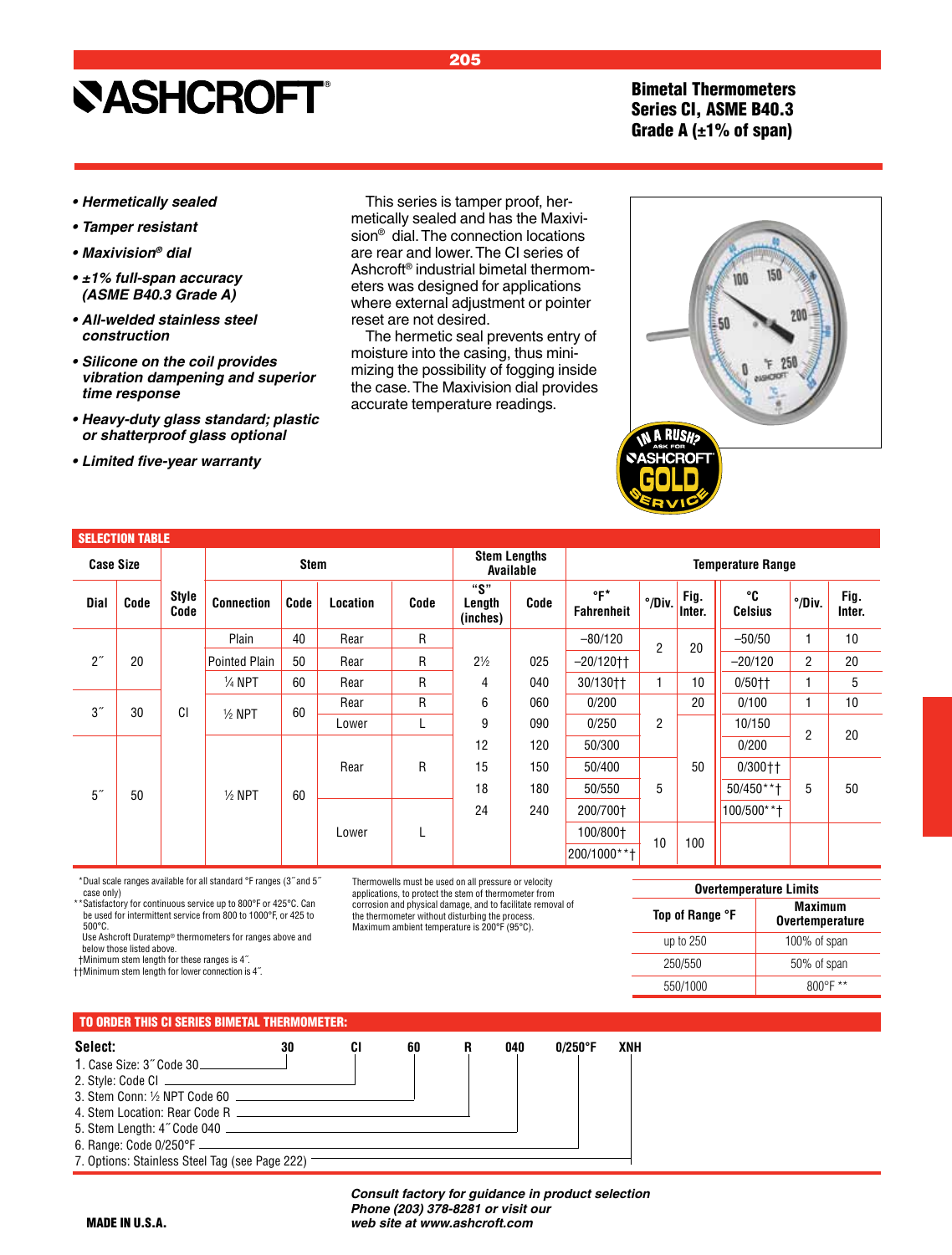Bimetal Thermometers Series CI, ASME B40.3 Grade A  $(\pm 1\%$  of span)

 $150$ 

 $25$ ٦F. essigners

100

50

- **Hermetically sealed**
- **Tamper resistant**
- **Maxivision***® dial*
- **±1% full-span accuracy (ASME B40.3 Grade A)**
- **All-welded stainless steel**   *construction*
- **Silicone on the coil provides**   *vibration dampening and superior time response*
- **Heavy-duty glass standard; plastic**   *or shatterproof glass optional*
- **Limited five-year warranty**

This series is tamper proof, hermetically sealed and has the Maxivision® dial. The connection locations are rear and lower. The CI series of Ashcroft® industrial bimetal thermometers was designed for applications where external adjustment or pointer reset are not desired.

The hermetic seal prevents entry of moisture into the casing, thus minimizing the possibility of fogging inside the case. The Maxivision dial provides accurate temperature readings.

|                    | <b>SELECTION TABLE</b> |               |                      |             |          |              |                           |                                  |                          |                  |                |                      |                |                |  |
|--------------------|------------------------|---------------|----------------------|-------------|----------|--------------|---------------------------|----------------------------------|--------------------------|------------------|----------------|----------------------|----------------|----------------|--|
| <b>Case Size</b>   |                        |               |                      | <b>Stem</b> |          |              |                           | <b>Stem Lengths</b><br>Available | <b>Temperature Range</b> |                  |                |                      |                |                |  |
| Dial               | Code                   | Style<br>Code | <b>Connection</b>    | Code        | Location | Code         | "S"<br>Length<br>(inches) | Code                             | °F*<br><b>Fahrenheit</b> | $^{\circ}/$ Div. | Fig.<br>Inter. | ℃°<br><b>Celsius</b> | °/Div.         | Fig.<br>Inter. |  |
|                    |                        |               | Plain                | 40          | Rear     | $\mathsf{R}$ |                           |                                  | $-80/120$                | $\overline{2}$   | 20             | $-50/50$             | $\mathbf{1}$   | 10             |  |
| $2^{\prime\prime}$ | 20                     |               | <b>Pointed Plain</b> | 50          | Rear     | $\mathsf{R}$ | $2\frac{1}{2}$            | 025                              | $-20/120$ <sup>++</sup>  |                  |                | $-20/120$            | $\overline{2}$ | 20             |  |
|                    |                        |               | $\frac{1}{4}$ NPT    | 60          | Rear     | $\mathsf{R}$ | 4                         | 040                              | 30/130††                 | $\mathbf{1}$     | 10             | $0/50$ <sup>++</sup> | 1              | 5              |  |
| 3''                | 30                     | CI            | $\frac{1}{2}$ NPT    | 60          | Rear     | $\mathsf{R}$ | 6                         | 060                              | 0/200                    |                  | 20             | 0/100                | 1              | 10             |  |
|                    |                        |               |                      |             | Lower    | L            | 9                         | 090                              | 0/250                    | 2                |                | 10/150               | $\overline{2}$ | 20             |  |
|                    |                        |               |                      |             |          |              | 12                        | 120                              | 50/300                   |                  |                | 0/200                |                |                |  |
|                    |                        |               |                      |             | Rear     | R            | 15                        | 150                              | 50/400                   |                  | 50             | $0/300 +$            |                |                |  |
| 5 <sup>''</sup>    | 50                     |               | $1/2$ NPT            | 60          |          |              | 18                        | 180                              | 50/550                   | 5                |                | 50/450**†            | 5              | 50             |  |
|                    |                        |               |                      |             |          | 24           | 240                       | 200/700+                         |                          |                  | 100/500**+     |                      |                |                |  |
|                    |                        |               |                      | Lower       |          |              |                           | 100/800+                         |                          |                  |                |                      |                |                |  |
|                    |                        |               |                      |             |          |              |                           |                                  | 200/1000**†              | 10               | 100            |                      |                |                |  |

\*\*Dual scale ranges available for all standard °F ranges (3˝ and 5˝ case only)

\*Satisfactory for continuous service up to 800°F or 425°C. Can be used for intermittent service from 800 to 1000°F, or 425 to 500°C.

 Use Ashcroft Duratemp® thermometers for ranges above and below those listed above.

††Minimum stem length for these ranges is 4˝. ††Minimum stem length for lower connection is 4˝.

Thermowells must be used on all pressure or velocity applications, to protect the stem of thermometer from corrosion and physical damage, and to facilitate removal of the thermometer without disturbing the process. Maximum ambient temperature is 200°F (95°C).

| <b>Overtemperature Limits</b> |                                          |  |  |  |  |  |  |  |  |
|-------------------------------|------------------------------------------|--|--|--|--|--|--|--|--|
| Top of Range °F               | <b>Maximum</b><br><b>Overtemperature</b> |  |  |  |  |  |  |  |  |
| up to 250                     | 100% of span                             |  |  |  |  |  |  |  |  |
| 250/550                       | 50% of span                              |  |  |  |  |  |  |  |  |
| 550/1000                      | $800^{\circ}$ F **                       |  |  |  |  |  |  |  |  |

### TO ORDER THIS CI SERIES BIMETAL THERMOMETER:

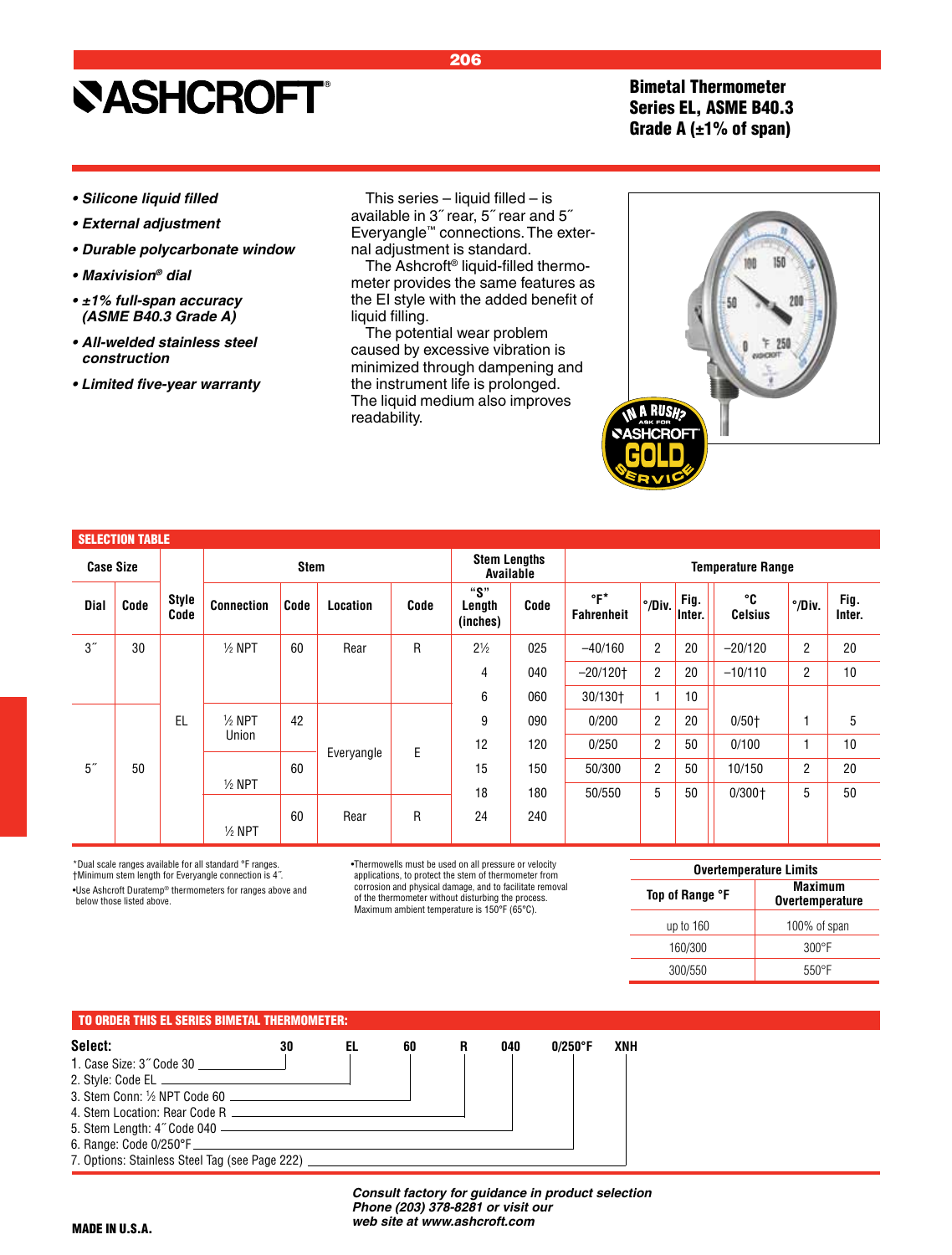Bimetal Thermometer Series EL, ASME B40.3 Grade A  $(\pm 1\%$  of span)

- **Silicone liquid filled**
- **External adjustment**
- **Durable polycarbonate window**
- **Maxivision***® dial*
- **±1% full-span accuracy (ASME B40.3 Grade A)**
- **All-welded stainless steel**  *construction*
- **Limited five-year warranty**

This series  $-$  liquid filled  $-$  is available in 3˝ rear, 5˝ rear and 5˝ Everyangle™ connections. The external adjustment is standard.

206

The Ashcroft® liquid-filled thermometer provides the same features as the EI style with the added benefit of liquid filling.

The potential wear problem caused by excessive vibration is minimized through dampening and the instrument life is prolonged. The liquid medium also improves readability.

| ì | 150<br>M<br>200<br>58<br>50                              |
|---|----------------------------------------------------------|
| ♦ | <b>IN A RUSH?<br/>CASHCROFT</b><br>É<br>s<br>С<br>Ξ<br>7 |

|                    | <b>SELECTION TABLE</b> |                      |                   |             |            |      |                                  |      |                                         |                                                                                                  |                |                      |                |                |  |  |
|--------------------|------------------------|----------------------|-------------------|-------------|------------|------|----------------------------------|------|-----------------------------------------|--------------------------------------------------------------------------------------------------|----------------|----------------------|----------------|----------------|--|--|
| <b>Case Size</b>   |                        |                      |                   | <b>Stem</b> |            |      | <b>Stem Lengths</b><br>Available |      | <b>Temperature Range</b>                |                                                                                                  |                |                      |                |                |  |  |
| Dial               | Code                   | <b>Style</b><br>Code | <b>Connection</b> | Code        | Location   | Code | "S"<br>Length<br>(inches)        | Code | $\mathsf{P}^\star$<br><b>Fahrenheit</b> |                                                                                                  | Fig.<br>Inter. | °C<br><b>Celsius</b> | °/Div.         | Fig.<br>Inter. |  |  |
| $3^{\prime\prime}$ | 30                     |                      | $1/2$ NPT         | 60          | Rear       | R    | $2\frac{1}{2}$                   | 025  | $-40/160$                               | $\overline{2}$                                                                                   | 20             | $-20/120$            | $\overline{2}$ | 20             |  |  |
|                    |                        |                      |                   |             |            |      | 4                                | 040  | $-20/120$ t                             | $\overline{2}$                                                                                   | 20             | $-10/110$            | $\overline{2}$ | 10             |  |  |
|                    |                        |                      |                   |             |            |      | 6                                | 060  | 30/130+                                 | 1                                                                                                | 10             |                      |                |                |  |  |
|                    |                        | EL                   | $1/2$ NPT         | 42          |            |      | 090<br>9                         |      | 0/200                                   | $\overline{2}$                                                                                   | 20             | $0/50+$              |                | 5              |  |  |
|                    |                        |                      | Union             |             | Everyangle | E    | 12                               | 120  | 0/250                                   | $\overline{2}$                                                                                   | 50             | 0/100                | н              | 10             |  |  |
| 5 <sup>''</sup>    | 50                     |                      |                   | 60          |            |      | 15                               | 150  | 50/300                                  | $^{\circ}$ /Div.<br>$\overline{2}$<br>50<br>20<br>2<br>10/150<br>5<br>50<br>5<br>50<br>$0/300 +$ |                |                      |                |                |  |  |
|                    |                        |                      | $\frac{1}{2}$ NPT |             |            |      | 18                               | 180  | 50/550                                  |                                                                                                  |                |                      |                |                |  |  |
|                    |                        |                      | $\frac{1}{2}$ NPT | 60          | Rear       | R    | 24                               | 240  |                                         |                                                                                                  |                |                      |                |                |  |  |

\*Dual scale ranges available for all standard °F ranges. †Minimum stem length for Everyangle connection is 4˝. •Use Ashcroft Duratemp® thermometers for ranges above and below those listed above.

•Thermowells must be used on all pressure or velocity applications, to protect the stem of thermometer from corrosion and physical damage, and to facilitate removal of the thermometer without disturbing the process. Maximum ambient temperature is 150°F (65°C).

| <b>Overtemperature Limits</b> |                                          |  |  |  |  |  |  |  |  |
|-------------------------------|------------------------------------------|--|--|--|--|--|--|--|--|
| Top of Range °F               | <b>Maximum</b><br><b>Overtemperature</b> |  |  |  |  |  |  |  |  |
| up to 160                     | 100% of span                             |  |  |  |  |  |  |  |  |
| 160/300                       | $300^{\circ}$ F                          |  |  |  |  |  |  |  |  |
| 300/550                       | $550^{\circ}$ F                          |  |  |  |  |  |  |  |  |

#### TO ORDER THIS EL SERIES BIMETAL THERMOMETER:



*Consult factory for guidance in product selection Phone (203) 378-8281 or visit our web site at www.ashcroft.com*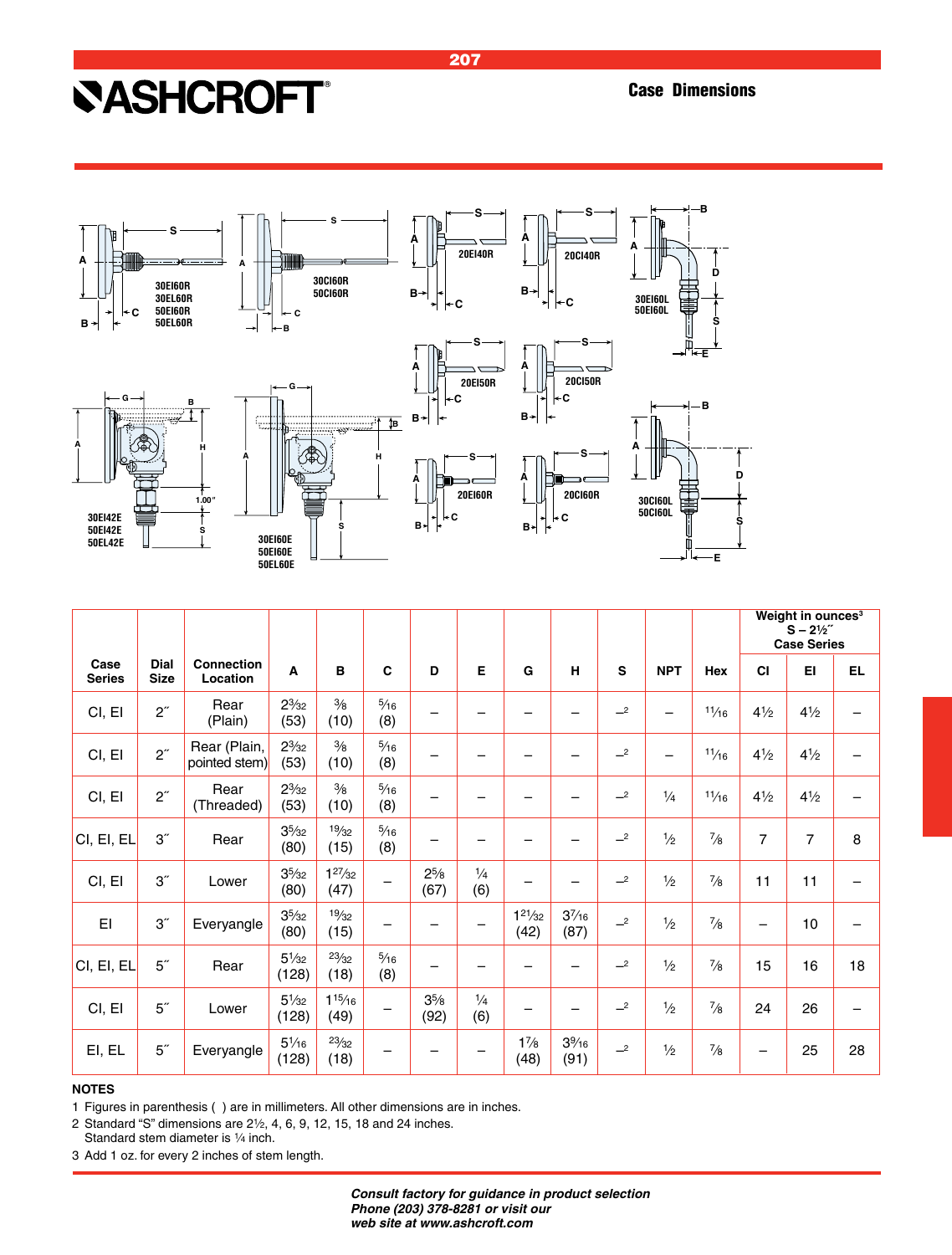

|                       |                     |                               |                          |                       |                       |                        |                      |                        |                    |      |               |               |                | Weight in ounces <sup>3</sup><br>$S - 2\frac{1}{2}$<br><b>Case Series</b> |     |
|-----------------------|---------------------|-------------------------------|--------------------------|-----------------------|-----------------------|------------------------|----------------------|------------------------|--------------------|------|---------------|---------------|----------------|---------------------------------------------------------------------------|-----|
| Case<br><b>Series</b> | Dial<br><b>Size</b> | <b>Connection</b><br>Location | A                        | B                     | C                     | D                      | Е                    | G                      | н                  | s    | <b>NPT</b>    | Hex           | <b>CI</b>      | EI                                                                        | EL. |
| CI, EI                | $2^{\prime\prime}$  | Rear<br>(Plain)               | $2\frac{3}{32}$<br>(53)  | $\frac{3}{8}$<br>(10) | $\frac{5}{16}$<br>(8) |                        |                      |                        |                    | $-2$ |               | 11/16         | $4\frac{1}{2}$ | $4\frac{1}{2}$                                                            |     |
| CI, EI                | $2^{\prime\prime}$  | Rear (Plain,<br>pointed stem) | $2\frac{3}{32}$<br>(53)  | $\frac{3}{8}$<br>(10) | $\frac{5}{16}$<br>(8) |                        |                      |                        |                    | $-2$ |               | 11/16         | $4\frac{1}{2}$ | $4\frac{1}{2}$                                                            |     |
| CI, EI                | $2^{\prime\prime}$  | Rear<br>(Threaded)            | $2\frac{3}{32}$<br>(53)  | $\frac{3}{8}$<br>(10) | $\frac{5}{16}$<br>(8) |                        |                      |                        |                    | $-2$ | $\frac{1}{4}$ | 11/16         | $4\frac{1}{2}$ | $4\frac{1}{2}$                                                            |     |
| CI, EI, EL            | 3 <sup>''</sup>     | Rear                          | $3^{5}/_{32}$<br>(80)    | 19/32<br>(15)         | $\frac{5}{16}$<br>(8) |                        |                      |                        |                    | $-2$ | $\frac{1}{2}$ | $\frac{7}{8}$ | 7              | $\overline{7}$                                                            | 8   |
| CI, EI                | 3 <sup>''</sup>     | Lower                         | $3^{5}/_{32}$<br>(80)    | $1^{27}/32$<br>(47)   |                       | $2^{5/8}$<br>(67)      | $\frac{1}{4}$<br>(6) |                        |                    | $-2$ | $\frac{1}{2}$ | $\frac{7}{8}$ | 11             | 11                                                                        |     |
| EI                    | 3 <sup>''</sup>     | Everyangle                    | $3^{5}/_{32}$<br>(80)    | 19/32<br>(15)         |                       |                        |                      | $1^{21}/_{32}$<br>(42) | $3^{7/16}$<br>(87) | $-2$ | $\frac{1}{2}$ | $\frac{7}{8}$ | —              | 10                                                                        |     |
| CI, EI, EL            | 5 <sup>''</sup>     | Rear                          | $5\frac{1}{32}$<br>(128) | 23/32<br>(18)         | $\frac{5}{16}$<br>(8) |                        |                      |                        |                    | $-2$ | $\frac{1}{2}$ | $\frac{7}{8}$ | 15             | 16                                                                        | 18  |
| CI, EI                | 5 <sup>''</sup>     | Lower                         | $5\frac{1}{32}$<br>(128) | $1^{15}/16$<br>(49)   |                       | $3\frac{5}{8}$<br>(92) | $\frac{1}{4}$<br>(6) | -                      |                    | $-2$ | $\frac{1}{2}$ | $\frac{7}{8}$ | 24             | 26                                                                        |     |
| EI, EL                | 5 <sup>''</sup>     | Everyangle                    | $5\frac{1}{16}$<br>(128) | 23/32<br>(18)         |                       |                        |                      | $1\frac{7}{8}$<br>(48) | $3\%$ 16<br>(91)   | $-2$ | $\frac{1}{2}$ | $\frac{7}{8}$ | —              | 25                                                                        | 28  |

#### **NOTES**

1 Figures in parenthesis ( ) are in millimeters. All other dimensions are in inches.

2 Standard "S" dimensions are  $2\frac{1}{2}$ , 4, 6, 9, 12, 15, 18 and 24 inches. Standard stem diameter is 1/4 inch.

3 Add 1 oz. for every 2 inches of stem length.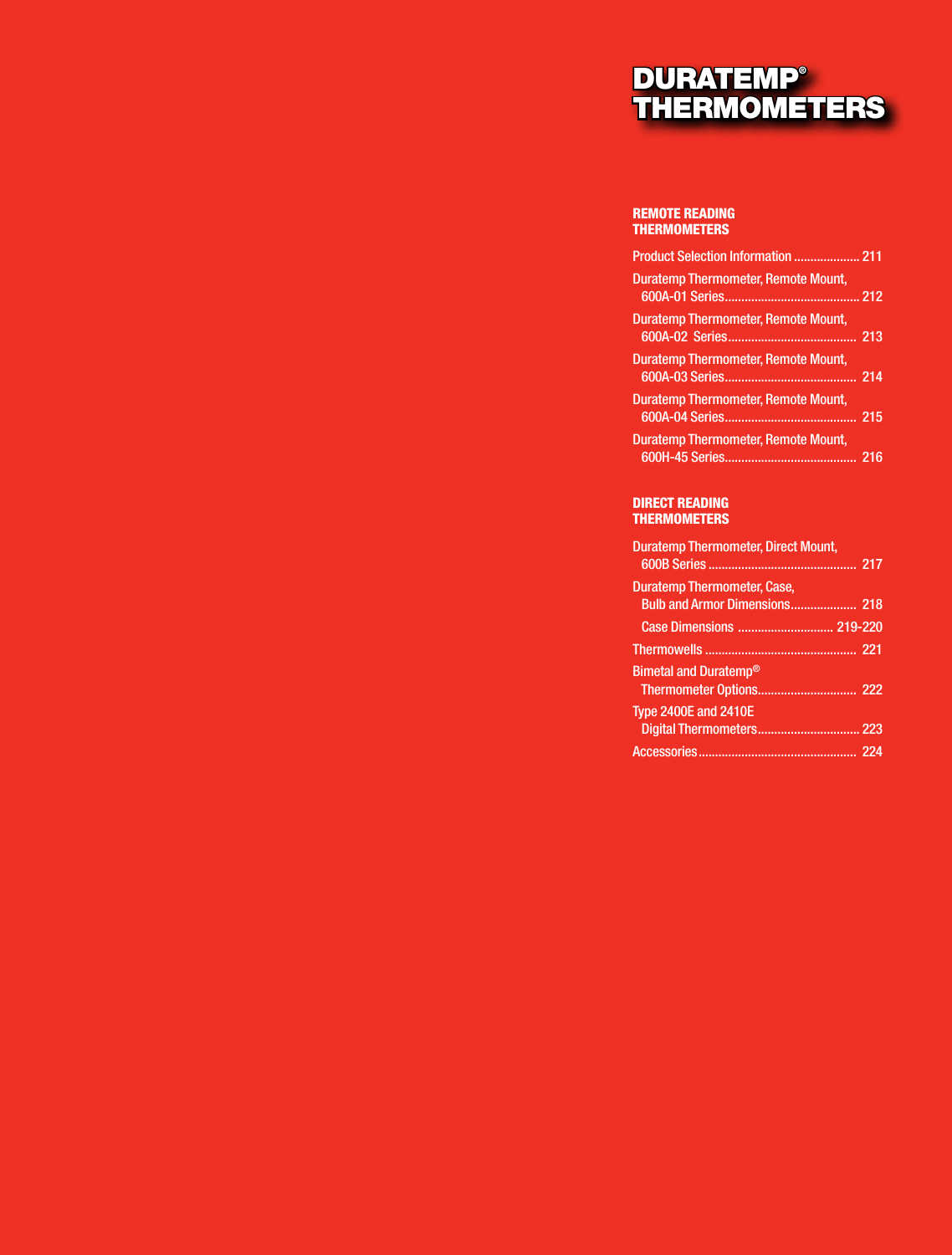### DURATEMP® THERMOMETERS

#### REMOTE READING THERMOMETERS

| <b>Product Selection Information  211</b>  |  |
|--------------------------------------------|--|
| <b>Duratemp Thermometer, Remote Mount,</b> |  |
| Duratemp Thermometer, Remote Mount,        |  |
| Duratemp Thermometer, Remote Mount,        |  |
| Duratemp Thermometer, Remote Mount,        |  |
| <b>Duratemp Thermometer, Remote Mount,</b> |  |

#### DIRECT READING THERMOMETERS

| <b>Duratemp Thermometer, Direct Mount,</b> |  |
|--------------------------------------------|--|
| <b>Duratemp Thermometer, Case,</b>         |  |
|                                            |  |
|                                            |  |
| <b>Bimetal and Duratemp®</b>               |  |
| <b>Type 2400E and 2410E</b>                |  |
|                                            |  |
|                                            |  |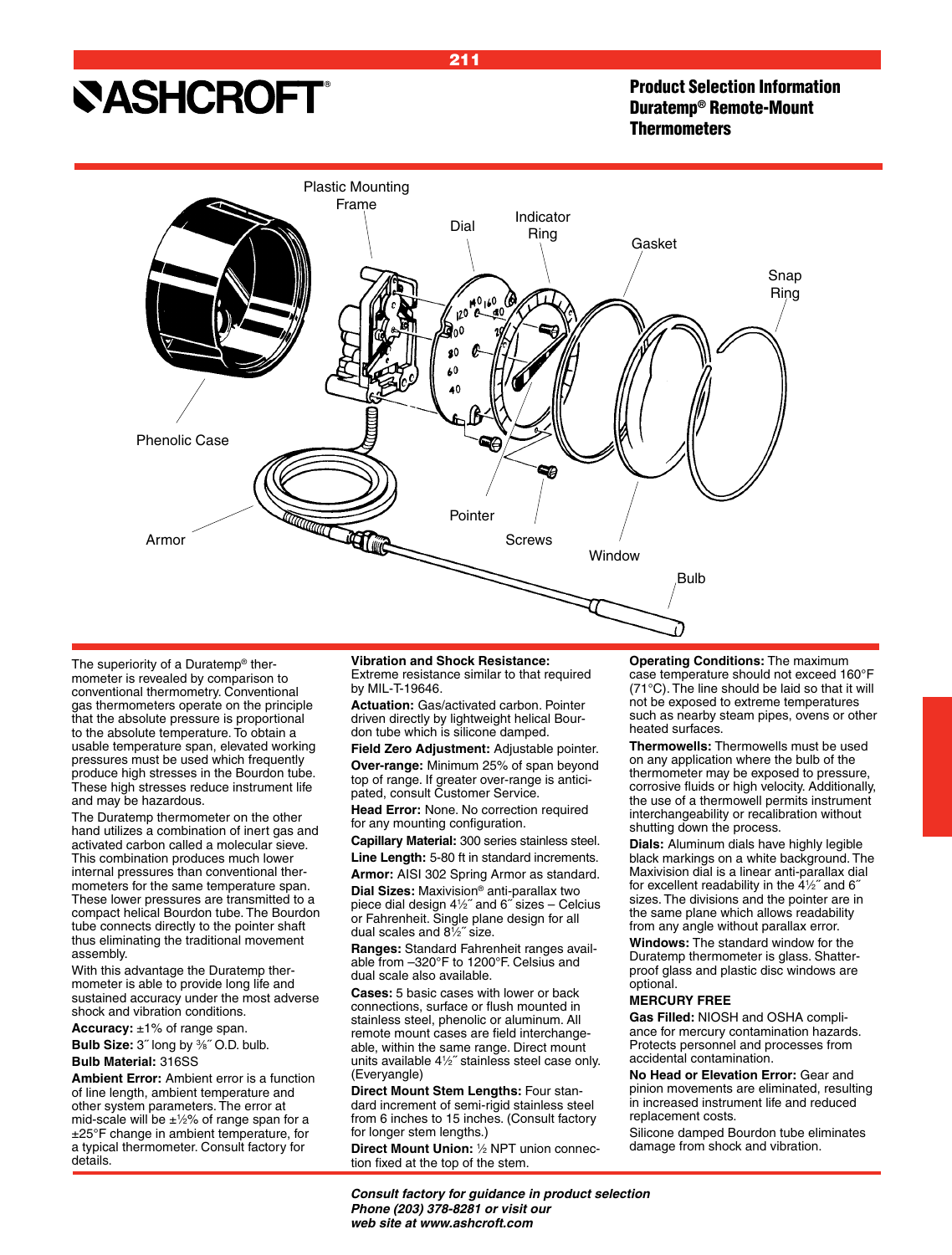Product Selection Information Duratemp® Remote-Mount **Thermometers** 



The superiority of a Duratemp® thermometer is revealed by comparison to conventional thermometry. Conventional gas thermometers operate on the principle that the absolute pressure is proportional to the absolute temperature. To obtain a usable temperature span, elevated working pressures must be used which frequently produce high stresses in the Bourdon tube. These high stresses reduce instrument life and may be hazardous.

The Duratemp thermometer on the other hand utilizes a combination of inert gas and activated carbon called a molecular sieve. This combination produces much lower internal pressures than conventional thermometers for the same temperature span. These lower pressures are transmitted to a compact helical Bourdon tube. The Bourdon tube connects directly to the pointer shaft thus eliminating the traditional movement assembly.

With this advantage the Duratemp thermometer is able to provide long life and sustained accuracy under the most adverse shock and vibration conditions.

**Accuracy:** ±1% of range span.

**Bulb Size:** 3<sup>"</sup> long by <sup>3</sup>%" O.D. bulb. **Bulb Material:** 316SS

**Ambient Error:** Ambient error is a function of line length, ambient temperature and other system parameters. The error at mid-scale will be  $\pm\frac{1}{2}$ % of range span for a ±25°F change in ambient temperature, for a typical thermometer. Consult factory for details.

**Vibration and Shock Resistance:** Extreme resistance similar to that required by MIL-T-19646.

**Actuation:** Gas/activated carbon. Pointer driven directly by lightweight helical Bourdon tube which is silicone damped.

**Field Zero Adjustment:** Adjustable pointer. **Over-range:** Minimum 25% of span beyond top of range. If greater over-range is anticipated, consult Customer Service.

**Head Error:** None. No correction required for any mounting configuration.

**Capillary Material:** 300 series stainless steel. **Line Length:** 5-80 ft in standard increments.

**Armor:** AISI 302 Spring Armor as standard.

**Dial Sizes:** Maxivision® anti-parallax two piece dial design 41 ⁄2˝ and 6˝ sizes – Celcius or Fahrenheit. Single plane design for all dual scales and 81 ⁄2˝ size.

**Ranges:** Standard Fahrenheit ranges available from –320°F to 1200°F. Celsius and dual scale also available.

**Cases:** 5 basic cases with lower or back connections, surface or flush mounted in stainless steel, phenolic or aluminum. All remote mount cases are field interchangeable, within the same range. Direct mount units available 41 ⁄2˝ stainless steel case only. (Everyangle)

**Direct Mount Stem Lengths:** Four standard increment of semi-rigid stainless steel from 6 inches to 15 inches. (Consult factory for longer stem lengths.)

**Direct Mount Union:** <sup>1</sup> ⁄2 NPT union connection fixed at the top of the stem.

**Operating Conditions:** The maximum case temperature should not exceed 160°F (71°C). The line should be laid so that it will not be exposed to extreme temperatures such as nearby steam pipes, ovens or other heated surfaces.

**Thermowells:** Thermowells must be used on any application where the bulb of the thermometer may be exposed to pressure, corrosive fluids or high velocity. Additionally, the use of a thermowell permits instrument interchangeability or recalibration without shutting down the process.

**Dials:** Aluminum dials have highly legible black markings on a white background. The Maxivision dial is a linear anti-parallax dial for excellent readability in the 41 ⁄2˝ and 6˝ sizes. The divisions and the pointer are in the same plane which allows readability from any angle without parallax error.

**Windows:** The standard window for the Duratemp thermometer is glass. Shatterproof glass and plastic disc windows are optional.

#### **MERCURY FREE**

**Gas Filled:** NIOSH and OSHA compliance for mercury contamination hazards. Protects personnel and processes from accidental contamination.

**No Head or Elevation Error:** Gear and pinion movements are eliminated, resulting in increased instrument life and reduced replacement costs.

Silicone damped Bourdon tube eliminates damage from shock and vibration.

*Consult factory for guidance in product selection Phone (203) 378-8281 or visit our web site at www.ashcroft.com*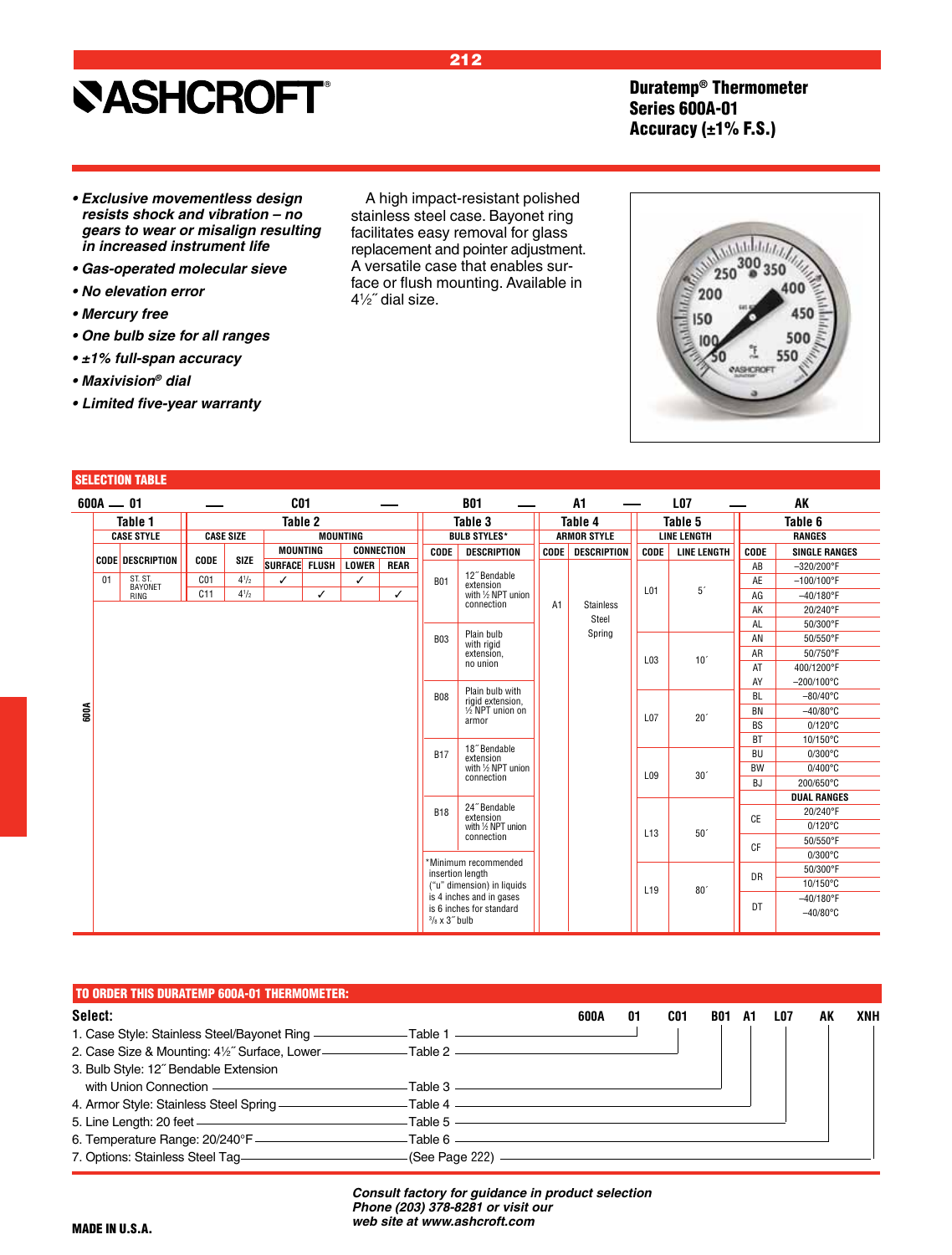Duratemp® Thermometer Series 600A-01 Accuracy  $(\pm 1\%$  F.S.)

- **Exclusive movementless design resists shock and vibration – no**  *gears to wear or misalign resulting in increased instrument life*
- **Gas-operated molecular sieve**
- **No elevation error**
- **Mercury free**
- **One bulb size for all ranges**
- **±1% full-span accuracy**
- **Maxivision***® dial*
- **• Limited five-year warranty**

#### SELECTION TABLE

| $600A - 01$ |                         |                 |                  |                 | C <sub>01</sub> |                 |                   |                                                                                   | <b>B01</b>                          |             | A1                 |                 | <b>LO7</b>         |           | AK                   |
|-------------|-------------------------|-----------------|------------------|-----------------|-----------------|-----------------|-------------------|-----------------------------------------------------------------------------------|-------------------------------------|-------------|--------------------|-----------------|--------------------|-----------|----------------------|
|             | Table 1                 |                 |                  |                 | Table 2         |                 |                   |                                                                                   | Table 3                             |             | Table 4            |                 | Table 5            |           | Table 6              |
|             | <b>CASE STYLE</b>       |                 | <b>CASE SIZE</b> |                 |                 | <b>MOUNTING</b> |                   |                                                                                   | <b>BULB STYLES*</b>                 |             | <b>ARMOR STYLE</b> |                 | <b>LINE LENGTH</b> |           | <b>RANGES</b>        |
|             |                         |                 |                  | <b>MOUNTING</b> |                 |                 | <b>CONNECTION</b> | <b>CODE</b>                                                                       | <b>DESCRIPTION</b>                  | <b>CODE</b> | <b>DESCRIPTION</b> | <b>CODE</b>     | <b>LINE LENGTH</b> | CODE      | <b>SINGLE RANGES</b> |
|             | <b>CODE DESCRIPTION</b> | CODE            | <b>SIZE</b>      | SURFACE FLUSH   |                 | <b>LOWER</b>    | <b>REAR</b>       |                                                                                   |                                     |             |                    |                 |                    | AB        | $-320/200^{\circ}$ F |
| 01          | ST. ST.<br>BAYONET      | C <sub>01</sub> | $4^{1}/2$        | ✓               |                 | ✓               |                   | <b>B01</b>                                                                        | 12" Bendable<br>extension           |             |                    |                 |                    | AE        | $-100/100^{\circ}$ F |
|             | RING                    | C11             | $4^{1}/2$        |                 | ✓               |                 | ✓                 |                                                                                   | with 1/2 NPT union                  |             |                    | L <sub>01</sub> | 5 <sup>′</sup>     | AG        | $-40/180$ °F         |
|             |                         |                 |                  |                 |                 |                 |                   |                                                                                   | connection                          | A1          | <b>Stainless</b>   |                 |                    | AK        | 20/240°F             |
|             |                         |                 |                  |                 |                 |                 |                   |                                                                                   |                                     |             | Steel              |                 |                    | AL        | 50/300°F             |
|             |                         |                 |                  |                 |                 |                 |                   | <b>B03</b>                                                                        | Plain bulb<br>with rigid            |             | Spring             |                 |                    | AN        | 50/550°F             |
|             |                         |                 |                  |                 |                 |                 |                   |                                                                                   | extension,                          |             |                    | L03             | 10 <sup>7</sup>    | AR        | 50/750°F             |
|             |                         |                 |                  |                 |                 |                 |                   |                                                                                   | no union                            |             |                    |                 |                    | AT        | 400/1200°F           |
|             |                         |                 |                  |                 |                 |                 |                   |                                                                                   |                                     |             |                    |                 |                    | AY        | $-200/100^{\circ}$ C |
|             |                         |                 |                  |                 |                 |                 |                   | <b>B08</b>                                                                        | Plain bulb with<br>rigid extension, |             |                    |                 |                    | <b>BL</b> | $-80/40^{\circ}$ C   |
| 60OA        |                         |                 |                  |                 |                 |                 |                   |                                                                                   | 1/2 NPT union on                    |             |                    | L07             | 20 <sup>7</sup>    | <b>BN</b> | $-40/80$ °C          |
|             |                         |                 |                  |                 |                 |                 |                   |                                                                                   | armor                               |             |                    |                 |                    | <b>BS</b> | $0/120^{\circ}$ C    |
|             |                         |                 |                  |                 |                 |                 |                   |                                                                                   | 18" Bendable                        |             |                    |                 |                    | <b>BT</b> | 10/150°C             |
|             |                         |                 |                  |                 |                 |                 |                   | <b>B17</b>                                                                        | extension                           |             |                    |                 |                    | <b>BU</b> | $0/300^{\circ}$ C    |
|             |                         |                 |                  |                 |                 |                 |                   |                                                                                   | with 1/2 NPT union<br>connection    |             |                    | L09             | 30 <sup>′</sup>    | <b>BW</b> | $0/400^{\circ}$ C    |
|             |                         |                 |                  |                 |                 |                 |                   |                                                                                   |                                     |             |                    |                 |                    | <b>BJ</b> | 200/650°C            |
|             |                         |                 |                  |                 |                 |                 |                   |                                                                                   |                                     |             |                    |                 |                    |           | <b>DUAL RANGES</b>   |
|             |                         |                 |                  |                 |                 |                 |                   | <b>B18</b>                                                                        | 24" Bendable<br>extension           |             |                    |                 |                    | <b>CE</b> | 20/240°F             |
|             |                         |                 |                  |                 |                 |                 |                   |                                                                                   | with 1/2 NPT union                  |             |                    | L <sub>13</sub> | 50 <sup>°</sup>    |           | $0/120^{\circ}$ C    |
|             |                         |                 |                  |                 |                 |                 |                   |                                                                                   | connection                          |             |                    |                 |                    | <b>CF</b> | 50/550°F             |
|             |                         |                 |                  |                 |                 |                 |                   |                                                                                   | *Minimum recommended                |             |                    |                 |                    |           | $0/300^{\circ}$ C    |
|             |                         |                 |                  |                 |                 |                 |                   |                                                                                   | insertion length                    |             |                    |                 |                    | DR        | 50/300°F             |
|             |                         |                 |                  |                 |                 |                 |                   |                                                                                   | ("u" dimension) in liquids          |             |                    | L <sub>19</sub> | 80 <sup>°</sup>    |           | 10/150°C             |
|             |                         |                 |                  |                 |                 |                 |                   | is 4 inches and in gases<br>is 6 inches for standard<br>$3$ / $8 \times 3$ " bulb |                                     |             |                    |                 |                    | DT        | $-40/180$ °F         |
|             |                         |                 |                  |                 |                 |                 |                   |                                                                                   |                                     |             |                    |                 |                    |           | $-40/80$ °C          |
|             |                         |                 |                  |                 |                 |                 |                   |                                                                                   |                                     |             |                    |                 |                    |           |                      |

| TO ORDER THIS DURATEMP 600A-01 THERMOMETER:                                                    |                                                              |      |    |     |     |    |     |    |     |
|------------------------------------------------------------------------------------------------|--------------------------------------------------------------|------|----|-----|-----|----|-----|----|-----|
| Select:                                                                                        |                                                              | 600A | 01 | CO1 | B01 | A1 | LO7 | AK | XNH |
| 1. Case Style: Stainless Steel/Bayonet Ring ——————————Table 1 ——————————————————               |                                                              |      |    |     |     |    |     |    |     |
| 2. Case Size & Mounting: 41/2" Surface, Lower- <b>Case Community</b> Table 2                   |                                                              |      |    |     |     |    |     |    |     |
| 3. Bulb Style: 12" Bendable Extension                                                          |                                                              |      |    |     |     |    |     |    |     |
| with Union Connection —————————————————————Table 3                                             |                                                              |      |    |     |     |    |     |    |     |
| 4. Armor Style: Stainless Steel Spring - The Management of Armor Style: Stainless Steel Spring | ——Table 4 —————                                              |      |    |     |     |    |     |    |     |
| 5. Line Length: 20 feet ————————————————————                                                   | $-$ Table 5 $\overline{\phantom{a} \phantom{a} \phantom{a}}$ |      |    |     |     |    |     |    |     |
|                                                                                                | – Table 6 –                                                  |      |    |     |     |    |     |    |     |
|                                                                                                | (See Page 222) ——————                                        |      |    |     |     |    |     |    |     |

*Consult factory for guidance in product selection Phone (203) 378-8281 or visit our web site at www.ashcroft.com*



212



A high impact-resistant polished stainless steel case. Bayonet ring facilitates easy removal for glass replacement and pointer adjustment. A versatile case that enables surface or flush mounting. Available in

41 ⁄2˝ dial size.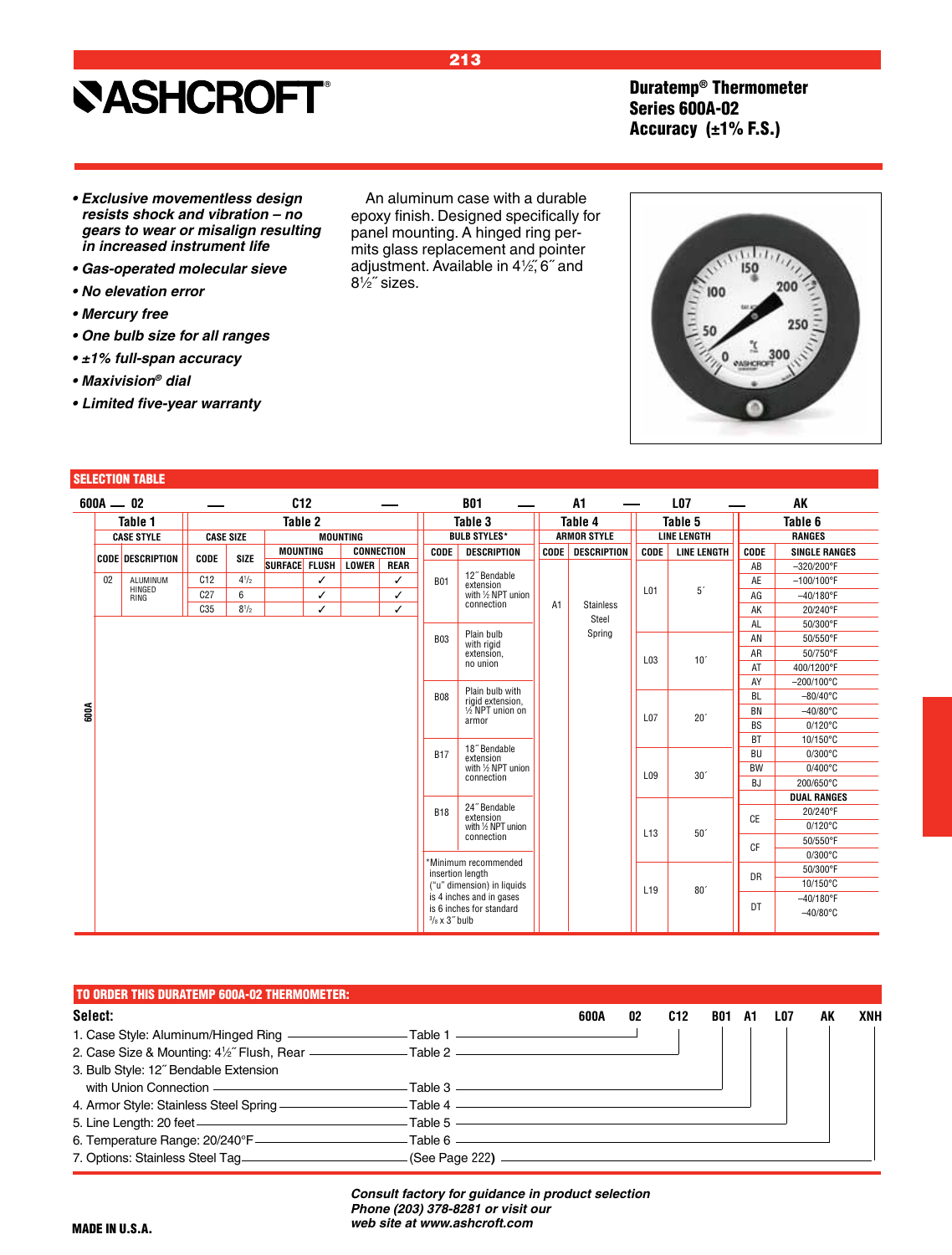### **SASHCROFT®**

Duratemp® Thermometer Series 600A-02 Accuracy (±1% F.S.)

- **Exclusive movementless design resists shock and vibration – no**  *gears to wear or misalign resulting in increased instrument life*
- **Gas-operated molecular sieve**
- **No elevation error**
- **Mercury free**
- **One bulb size for all ranges**
- **±1% full-span accuracy**
- **Maxivision***® dial*
- **• Limited five-year warranty**

#### SELECTION TABLE

|      |    | $600A - 02$             |                 |                  |                 | C12 |                 |                   |                           | <b>B01</b>                          |                | A1                 |                 | <b>L07</b>         |           | AK                   |
|------|----|-------------------------|-----------------|------------------|-----------------|-----|-----------------|-------------------|---------------------------|-------------------------------------|----------------|--------------------|-----------------|--------------------|-----------|----------------------|
|      |    | Table 1                 |                 |                  | Table 2         |     |                 |                   |                           | Table 3                             |                | Table 4            |                 | Table 5            |           | Table 6              |
|      |    | <b>CASE STYLE</b>       |                 | <b>CASE SIZE</b> |                 |     | <b>MOUNTING</b> |                   |                           | <b>BULB STYLES*</b>                 |                | <b>ARMOR STYLE</b> |                 | <b>LINE LENGTH</b> |           | <b>RANGES</b>        |
|      |    |                         |                 | <b>SIZE</b>      | <b>MOUNTING</b> |     |                 | <b>CONNECTION</b> | <b>CODE</b>               | <b>DESCRIPTION</b>                  | <b>CODE</b>    | <b>DESCRIPTION</b> | CODE            | <b>LINE LENGTH</b> | CODE      | <b>SINGLE RANGES</b> |
|      |    | <b>CODE DESCRIPTION</b> | <b>CODE</b>     |                  | SURFACE FLUSH   |     | LOWER           | <b>REAR</b>       |                           |                                     |                |                    |                 |                    | AB        | $-320/200^{\circ}$ F |
|      | 02 | ALUMINUM                | C12             | $4^{1/2}$        |                 | ✓   |                 | ✓                 | <b>B01</b>                | 12" Bendable<br>extension           |                |                    |                 |                    | AE        | $-100/100^{\circ}$ F |
|      |    | HINGED<br><b>RING</b>   | C27             | 6                |                 | ✓   |                 | ✓                 |                           | with 1/2 NPT union                  |                |                    | L01             | $5^\prime$         | AG        | $-40/180$ °F         |
|      |    |                         | C <sub>35</sub> | $8^{1/2}$        |                 | ✓   |                 | ✓                 |                           | connection                          | A <sub>1</sub> | <b>Stainless</b>   |                 |                    | AK        | 20/240°F             |
|      |    |                         |                 |                  |                 |     |                 |                   |                           |                                     |                | Steel              |                 |                    | AL        | 50/300°F             |
|      |    |                         |                 |                  |                 |     |                 |                   | <b>B03</b>                | Plain bulb<br>with rigid            |                | Spring             |                 |                    | AN        | 50/550°F             |
|      |    |                         |                 |                  |                 |     |                 |                   |                           | extension,                          |                |                    | L03             | 10 <sup>7</sup>    | AR        | 50/750°F             |
|      |    |                         |                 |                  |                 |     |                 |                   |                           | no union                            |                |                    |                 |                    | AT        | 400/1200°F           |
|      |    |                         |                 |                  |                 |     |                 |                   |                           |                                     |                |                    |                 |                    | AY        | $-200/100^{\circ}$ C |
|      |    |                         |                 |                  |                 |     |                 |                   | <b>B08</b>                | Plain bulb with<br>rigid extension, |                |                    |                 |                    | <b>BL</b> | $-80/40^{\circ}$ C   |
| 600A |    |                         |                 |                  |                 |     |                 |                   |                           | 1/2 NPT union on                    |                |                    | L07             | 20 <sup>°</sup>    | <b>BN</b> | $-40/80^{\circ}$ C   |
|      |    |                         |                 |                  |                 |     |                 |                   |                           | armor                               |                |                    |                 |                    | <b>BS</b> | $0/120^{\circ}$ C    |
|      |    |                         |                 |                  |                 |     |                 |                   |                           |                                     |                |                    |                 |                    | <b>BT</b> | 10/150°C             |
|      |    |                         |                 |                  |                 |     |                 |                   | <b>B17</b>                | 18" Bendable<br>extension           |                |                    |                 |                    | BU        | $0/300^{\circ}$ C    |
|      |    |                         |                 |                  |                 |     |                 |                   |                           | with 1/2 NPT union                  |                |                    | L09             | 30 <sup>°</sup>    | <b>BW</b> | $0/400^{\circ}$ C    |
|      |    |                         |                 |                  |                 |     |                 |                   |                           | connection                          |                |                    |                 |                    | BJ        | 200/650°C            |
|      |    |                         |                 |                  |                 |     |                 |                   |                           |                                     |                |                    |                 |                    |           | <b>DUAL RANGES</b>   |
|      |    |                         |                 |                  |                 |     |                 |                   | <b>B18</b>                | 24" Bendable<br>extension           |                |                    |                 |                    | <b>CE</b> | 20/240°F             |
|      |    |                         |                 |                  |                 |     |                 |                   |                           | with 1/2 NPT union                  |                |                    | L <sub>13</sub> | 50 <sup>°</sup>    |           | $0/120^{\circ}$ C    |
|      |    |                         |                 |                  |                 |     |                 |                   |                           | connection                          |                |                    |                 |                    | <b>CF</b> | 50/550°F             |
|      |    |                         |                 |                  |                 |     |                 |                   |                           | *Minimum recommended                |                |                    |                 |                    |           | $0/300^{\circ}$ C    |
|      |    |                         |                 |                  |                 |     |                 |                   |                           | insertion length                    |                |                    |                 |                    | DR        | 50/300°F             |
|      |    |                         |                 |                  |                 |     |                 |                   |                           | ("u" dimension) in liquids          |                |                    | L <sub>19</sub> | 80 <sup>°</sup>    |           | 10/150°C             |
|      |    |                         |                 |                  |                 |     |                 |                   |                           | is 4 inches and in gases            |                |                    |                 |                    | DT        | $-40/180^{\circ}$ F  |
|      |    |                         |                 |                  |                 |     |                 |                   | $3$ / $8 \times 3$ " bulb | is 6 inches for standard            |                |                    |                 |                    |           | $-40/80$ °C          |
|      |    |                         |                 |                  |                 |     |                 |                   |                           |                                     |                |                    |                 |                    |           |                      |

| <b>TO ORDER THIS DURATEMP 600A-02 THERMOMETER:</b>                               |      |    |     |            |    |     |    |            |
|----------------------------------------------------------------------------------|------|----|-----|------------|----|-----|----|------------|
| Select:                                                                          | 600A | 02 | C12 | <b>B01</b> | A1 | LO7 | AK | <b>XNH</b> |
| 1. Case Style: Aluminum/Hinged Ring _________________Table 1 ___________________ |      |    |     |            |    |     |    |            |
|                                                                                  |      |    |     |            |    |     |    |            |
| 3. Bulb Style: 12" Bendable Extension                                            |      |    |     |            |    |     |    |            |
|                                                                                  |      |    |     |            |    |     |    |            |
|                                                                                  |      |    |     |            |    |     |    |            |
|                                                                                  |      |    |     |            |    |     |    |            |
|                                                                                  |      |    |     |            |    |     |    |            |
| 7. Options: Stainless Steel Tag _______________________(See Page 222) __________ |      |    |     |            |    |     |    |            |

*Consult factory for guidance in product selection Phone (203) 378-8281 or visit our web site at www.ashcroft.com*

213

An aluminum case with a durable epoxy finish. Designed specifically for panel mounting. A hinged ring permits glass replacement and pointer adjustment. Available in 41 ⁄2,˝ 6˝ and

81 ⁄2˝ sizes.

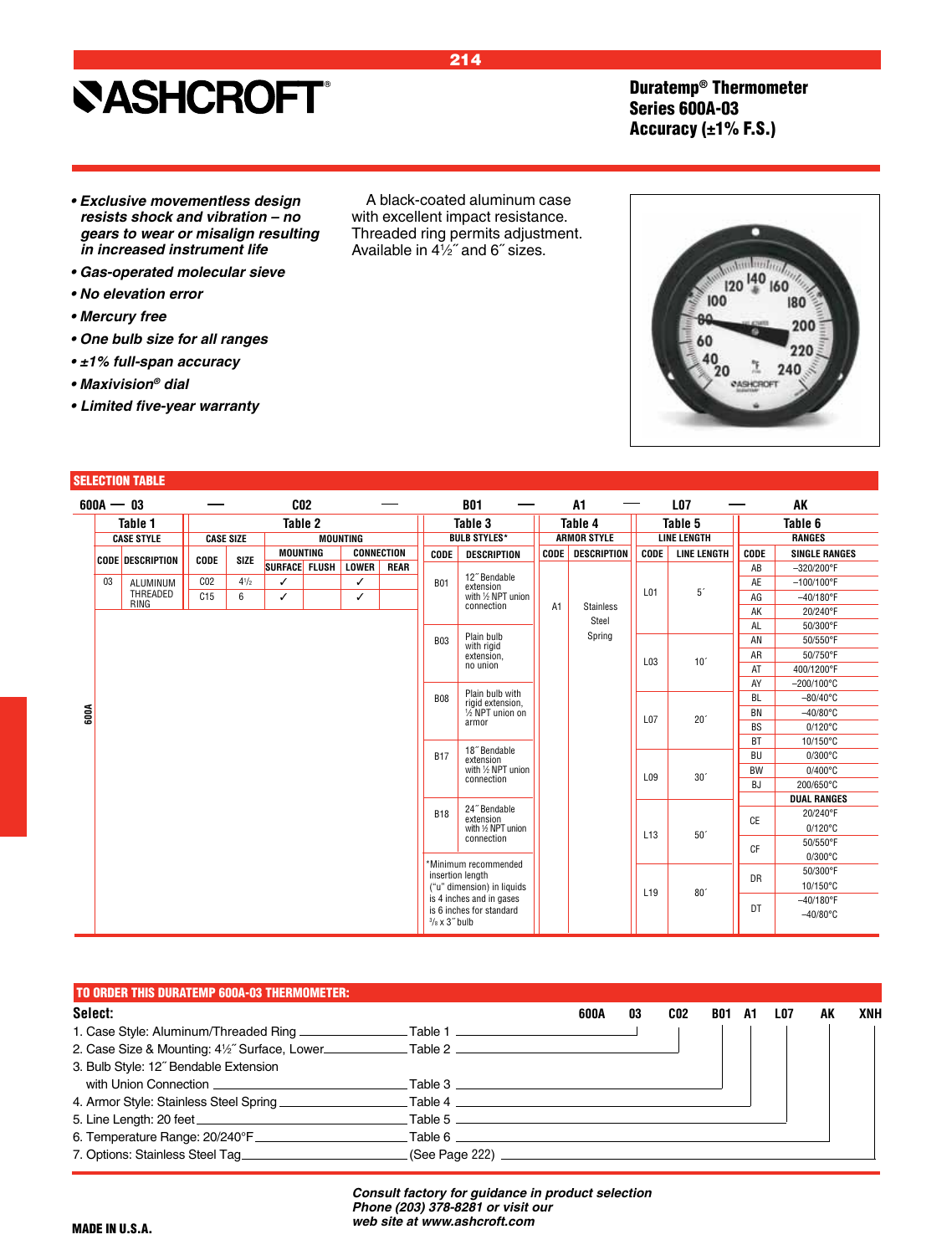### Duratemp® Thermometer Series 600A-03 Accuracy  $(\pm 1\%$  F.S.)

- **Exclusive movementless design resists shock and vibration – no**  *gears to wear or misalign resulting in increased instrument life*
- **Gas-operated molecular sieve**
- **No elevation error**
- **Mercury free**
- **One bulb size for all ranges**
- **±1% full-span accuracy**
- **Maxivision***® dial*
- **• Limited five-year warranty**

#### SELECTION TABLE

|      | $600A - 03$ |                         |                 |                  |                 | C <sub>02</sub> |                 |                   |                       | <b>B01</b>                               |                | A1                 |                 | <b>LO7</b>         |           | AK                   |
|------|-------------|-------------------------|-----------------|------------------|-----------------|-----------------|-----------------|-------------------|-----------------------|------------------------------------------|----------------|--------------------|-----------------|--------------------|-----------|----------------------|
|      |             | Table 1                 |                 |                  |                 | Table 2         |                 |                   |                       | Table 3                                  |                | Table 4            |                 | Table 5            |           | Table 6              |
|      |             | <b>CASE STYLE</b>       |                 | <b>CASE SIZE</b> |                 |                 | <b>MOUNTING</b> |                   |                       | <b>BULB STYLES*</b>                      |                | <b>ARMOR STYLE</b> |                 | <b>LINE LENGTH</b> |           | <b>RANGES</b>        |
|      |             |                         |                 | <b>SIZE</b>      | <b>MOUNTING</b> |                 |                 | <b>CONNECTION</b> | CODE                  | <b>DESCRIPTION</b>                       | CODE           | DESCRIPTION        | <b>CODE</b>     | <b>LINE LENGTH</b> | CODE      | <b>SINGLE RANGES</b> |
|      |             | <b>CODE DESCRIPTION</b> | <b>CODE</b>     |                  | SURFACE FLUSH   |                 | <b>LOWER</b>    | <b>REAR</b>       |                       |                                          |                |                    |                 |                    | AB        | $-320/200^{\circ}$ F |
|      | 03          | ALUMINUM                | C <sub>02</sub> | $4^{1/2}$        | ✓               |                 | ✓               |                   | <b>B01</b>            | 12" Bendable<br>extension                |                |                    |                 |                    | AE        | $-100/100^{\circ}$ F |
|      |             | THREADED                | C15             | 6                | ✓               |                 | ✓               |                   |                       | with 1/2 NPT union                       |                |                    | L01             | 5 <sup>′</sup>     | AG        | $-40/180$ °F         |
|      |             | <b>RING</b>             |                 |                  |                 |                 |                 |                   |                       | connection                               | A <sub>1</sub> | <b>Stainless</b>   |                 |                    | AK        | 20/240°F             |
|      |             |                         |                 |                  |                 |                 |                 |                   |                       |                                          |                | Steel              |                 |                    | <b>AL</b> | 50/300°F             |
|      |             |                         |                 |                  |                 |                 |                 |                   | <b>B03</b>            | Plain bulb<br>with rigid                 |                | Spring             |                 |                    | AN        | 50/550°F             |
|      |             |                         |                 |                  |                 |                 |                 |                   |                       | extension.                               |                |                    |                 | 10 <sup>7</sup>    | AR        | 50/750°F             |
|      |             |                         |                 |                  |                 |                 |                 |                   |                       | no union                                 |                |                    | L03             |                    | AT        | 400/1200°F           |
|      |             |                         |                 |                  |                 |                 |                 |                   |                       |                                          |                |                    |                 |                    | AY        | $-200/100^{\circ}$ C |
|      |             |                         |                 |                  |                 |                 |                 |                   | <b>B08</b>            | Plain bulb with<br>rigid extension,      |                |                    |                 |                    | <b>BL</b> | $-80/40^{\circ}$ C   |
| 600A |             |                         |                 |                  |                 |                 |                 |                   |                       | 1/2 NPT union on                         |                |                    | L07             | 20 <sup>°</sup>    | BN        | $-40/80$ °C          |
|      |             |                         |                 |                  |                 |                 |                 |                   |                       | armor                                    |                |                    |                 |                    | <b>BS</b> | $0/120^{\circ}$ C    |
|      |             |                         |                 |                  |                 |                 |                 |                   |                       |                                          |                |                    |                 |                    | <b>BT</b> | 10/150°C             |
|      |             |                         |                 |                  |                 |                 |                 |                   | <b>B17</b>            | 18" Bendable<br>extension                |                |                    |                 |                    | <b>BU</b> | $0/300^{\circ}$ C    |
|      |             |                         |                 |                  |                 |                 |                 |                   |                       | with 1/2 NPT union                       |                |                    | L09             | 30 <sup>′</sup>    | <b>BW</b> | $0/400^{\circ}$ C    |
|      |             |                         |                 |                  |                 |                 |                 |                   |                       | connection                               |                |                    |                 |                    | <b>BJ</b> | 200/650°C            |
|      |             |                         |                 |                  |                 |                 |                 |                   |                       |                                          |                |                    |                 |                    |           | <b>DUAL RANGES</b>   |
|      |             |                         |                 |                  |                 |                 |                 |                   | <b>B18</b>            | 24" Bendable<br>extension                |                |                    |                 |                    | <b>CE</b> | 20/240°F             |
|      |             |                         |                 |                  |                 |                 |                 |                   |                       | with 1/2 NPT union                       |                |                    | L <sub>13</sub> | 50 <sup>°</sup>    |           | $0/120^{\circ}$ C    |
|      |             |                         |                 |                  |                 |                 |                 |                   |                       | connection                               |                |                    |                 |                    | CF        | 50/550°F             |
|      |             |                         |                 |                  |                 |                 |                 |                   |                       |                                          |                |                    |                 |                    |           | $0/300^{\circ}$ C    |
|      |             |                         |                 |                  |                 |                 |                 |                   |                       | *Minimum recommended<br>insertion length |                |                    |                 |                    | DR        | 50/300°F             |
|      |             |                         |                 |                  |                 |                 |                 |                   |                       | ("u" dimension) in liquids               |                |                    | L <sub>19</sub> | 80 <sup>°</sup>    |           | 10/150°C             |
|      |             |                         |                 |                  |                 |                 |                 |                   |                       | is 4 inches and in gases                 |                |                    |                 |                    |           | $-40/180^{\circ}$ F  |
|      |             |                         |                 |                  |                 |                 |                 |                   | $3/8 \times 3$ " bulb | is 6 inches for standard                 |                |                    |                 |                    | DT        | $-40/80^{\circ}$ C   |
|      |             |                         |                 |                  |                 |                 |                 |                   |                       |                                          |                |                    |                 |                    |           |                      |

| TO ORDER THIS DURATEMP 600A-03 THERMOMETER: I                                                        |                                  |      |    |                 |            |    |     |    |     |
|------------------------------------------------------------------------------------------------------|----------------------------------|------|----|-----------------|------------|----|-----|----|-----|
| Select:                                                                                              |                                  | 600A | 03 | CO <sub>2</sub> | <b>B01</b> | A1 | LO7 | AK | XNH |
| 1. Case Style: Aluminum/Threaded Ring _________________Table 1 _________________                     |                                  |      |    |                 |            |    |     |    |     |
| 2. Case Size & Mounting: 41/2" Surface, Lower______________Table 2 _________________________________ |                                  |      |    |                 |            |    |     |    |     |
| 3. Bulb Style: 12" Bendable Extension                                                                |                                  |      |    |                 |            |    |     |    |     |
|                                                                                                      |                                  |      |    |                 |            |    |     |    |     |
|                                                                                                      | $\Box$ Table 4                   |      |    |                 |            |    |     |    |     |
|                                                                                                      |                                  |      |    |                 |            |    |     |    |     |
|                                                                                                      | Table 6 $\overline{\phantom{a}}$ |      |    |                 |            |    |     |    |     |
| 7. Options: Stainless Steel Tag                                                                      |                                  |      |    |                 |            |    |     |    |     |

*Consult factory for guidance in product selection Phone (203) 378-8281 or visit our web site at www.ashcroft.com*

MADE IN U.S.A.

120 140 160 100 180 ۵n 200 60  $\frac{40}{20}$ ı 240 PASHCROF

### 214

A black-coated aluminum case with excellent impact resistance. Threaded ring permits adjustment. Available in 41 ⁄2˝ and 6˝ sizes.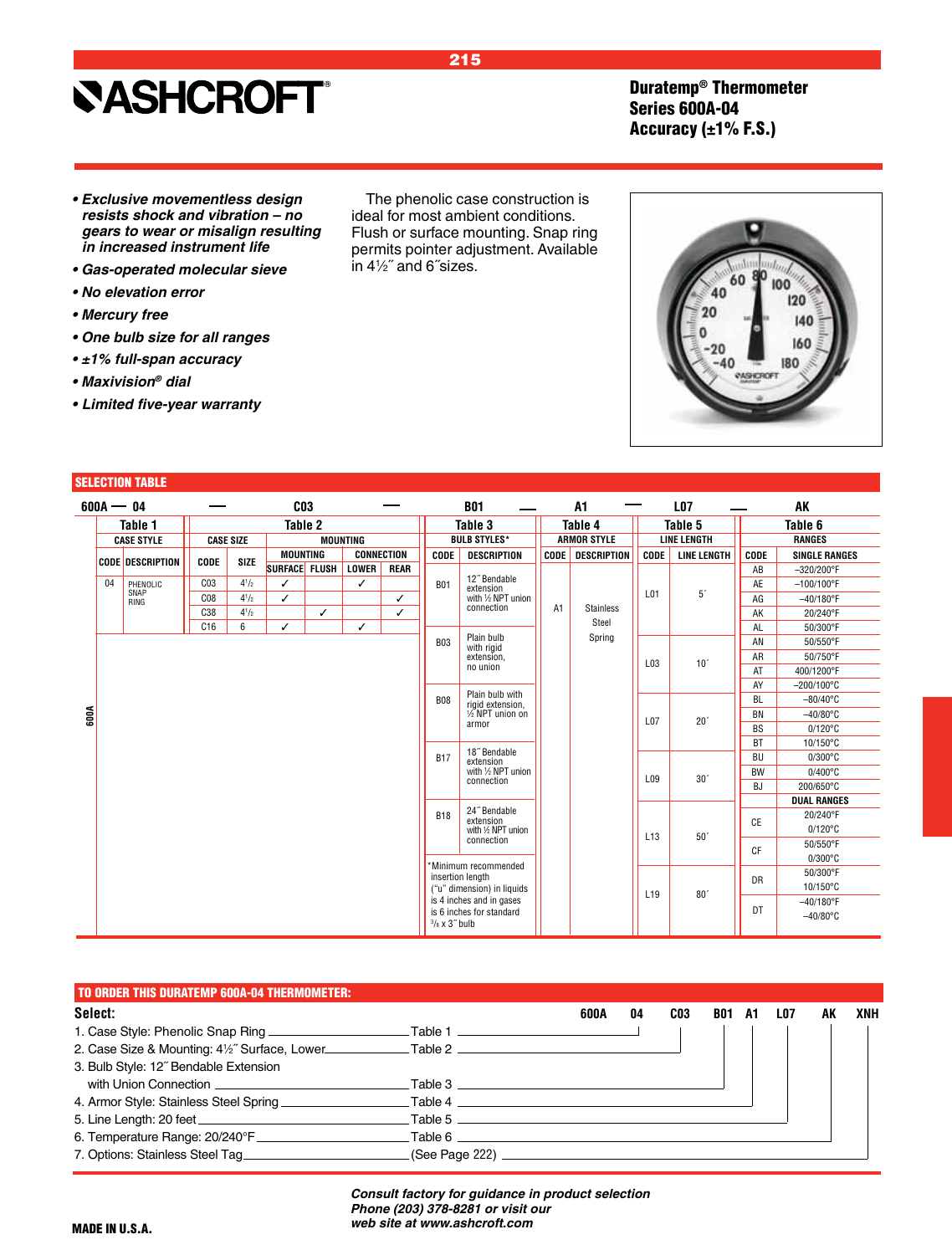### Duratemp® Thermometer Series 600A-04 Accuracy  $(\pm 1\%$  F.S.)

- **Exclusive movementless design resists shock and vibration – no**  *gears to wear or misalign resulting in increased instrument life*
- **Gas-operated molecular sieve**
- **No elevation error**
- **Mercury free**
- **One bulb size for all ranges**
- **±1% full-span accuracy**
- **Maxivision***® dial*
- **• Limited five-year warranty**

#### SELECTION TABLE

| $600A - 04$ |                         |                 |                  |                 | C <sub>03</sub> |                 |                   |                                                   | <b>B01</b>                          |                | A1                 |                 | <b>LO7</b>         |                    | AK                   |
|-------------|-------------------------|-----------------|------------------|-----------------|-----------------|-----------------|-------------------|---------------------------------------------------|-------------------------------------|----------------|--------------------|-----------------|--------------------|--------------------|----------------------|
|             | Table 1                 |                 |                  |                 | Table 2         |                 |                   |                                                   | Table 3                             |                | Table 4            |                 | Table 5            |                    | Table 6              |
|             | <b>CASE STYLE</b>       |                 | <b>CASE SIZE</b> |                 |                 | <b>MOUNTING</b> |                   |                                                   | <b>BULB STYLES*</b>                 |                | <b>ARMOR STYLE</b> |                 | <b>LINE LENGTH</b> |                    | <b>RANGES</b>        |
|             | <b>CODE DESCRIPTION</b> | <b>CODE</b>     | <b>SIZE</b>      | <b>MOUNTING</b> |                 |                 | <b>CONNECTION</b> | CODE                                              | <b>DESCRIPTION</b>                  | <b>CODE</b>    | DESCRIPTION        | CODE            | <b>LINE LENGTH</b> | CODE               | <b>SINGLE RANGES</b> |
|             |                         |                 |                  | SURFACE FLUSH   |                 | LOWER           | <b>REAR</b>       |                                                   |                                     |                |                    |                 |                    | AB                 | $-320/200^{\circ}$ F |
| 04          | PHENOLIC                | C <sub>03</sub> | $4^{1/2}$        | ✓               |                 | ✓               |                   | <b>B01</b>                                        | 12" Bendable<br>extension           |                |                    |                 |                    | AE                 | $-100/100^{\circ}$ F |
|             | SNAP<br>RING            | C <sub>08</sub> | $4^{1/2}$        | ✓               |                 |                 | ✓                 |                                                   | with 1/2 NPT union                  |                |                    | L01             | $5^\circ$          | AG                 | $-40/180^{\circ}$ F  |
|             |                         | C38             | $4^{1/2}$        |                 | ✓               |                 | ✓                 |                                                   | connection                          | A <sub>1</sub> | <b>Stainless</b>   |                 |                    | AK                 | 20/240°F             |
|             |                         | C16             | 6                | ✓               |                 | ✓               |                   |                                                   |                                     |                | Steel              |                 |                    | AL                 | 50/300°F             |
|             |                         |                 |                  |                 |                 |                 |                   | <b>B03</b>                                        | Plain bulb<br>with rigid            |                | Spring             |                 |                    | AN                 | 50/550°F             |
|             |                         |                 |                  |                 |                 |                 |                   |                                                   | extension.                          |                |                    | L03             | 10 <sup>7</sup>    | AR                 | 50/750°F             |
|             |                         |                 |                  |                 |                 |                 |                   |                                                   | no union                            |                |                    |                 |                    | AT                 | 400/1200°F           |
|             |                         |                 |                  |                 |                 |                 |                   |                                                   |                                     |                |                    |                 |                    | AY                 | $-200/100^{\circ}$ C |
|             |                         |                 |                  |                 |                 |                 |                   | <b>B08</b>                                        | Plain bulb with<br>rigid extension, |                |                    |                 |                    | <b>BL</b>          | $-80/40^{\circ}$ C   |
| 600A        |                         |                 |                  |                 |                 |                 |                   |                                                   | 1/2 NPT union on                    |                |                    | L07             | 20 <sup>′</sup>    | <b>BN</b>          | $-40/80^{\circ}$ C   |
|             |                         |                 |                  |                 |                 |                 |                   |                                                   | armor                               |                |                    |                 |                    | <b>BS</b>          | $0/120^{\circ}$ C    |
|             |                         |                 |                  |                 |                 |                 |                   |                                                   |                                     |                |                    |                 |                    | <b>BT</b>          | 10/150°C             |
|             |                         |                 |                  |                 |                 |                 |                   | <b>B17</b>                                        | 18" Bendable<br>extension           |                |                    |                 |                    | <b>BU</b>          | $0/300^{\circ}$ C    |
|             |                         |                 |                  |                 |                 |                 |                   |                                                   | with 1/2 NPT union                  |                |                    | L09             | 30 <sup>′</sup>    | <b>BW</b>          | $0/400^{\circ}$ C    |
|             |                         |                 |                  |                 |                 |                 |                   |                                                   | connection                          |                |                    |                 |                    | BJ                 | 200/650°C            |
|             |                         |                 |                  |                 |                 |                 |                   |                                                   |                                     |                |                    |                 |                    |                    | <b>DUAL RANGES</b>   |
|             |                         |                 |                  |                 |                 |                 |                   | <b>B18</b>                                        | 24" Bendable<br>extension           |                |                    |                 |                    | <b>CE</b>          | 20/240°F             |
|             |                         |                 |                  |                 |                 |                 |                   |                                                   | with 1/2 NPT union                  |                |                    | L <sub>13</sub> | 50 <sup>′</sup>    |                    | $0/120^{\circ}$ C    |
|             |                         |                 |                  |                 |                 |                 |                   |                                                   | connection                          |                |                    |                 |                    | <b>CF</b>          | 50/550°F             |
|             |                         |                 |                  |                 |                 |                 |                   |                                                   | *Minimum recommended                |                |                    |                 |                    |                    | $0/300^{\circ}$ C    |
|             |                         |                 |                  |                 |                 |                 |                   |                                                   | insertion length                    |                |                    |                 |                    | DR                 | 50/300°F             |
|             |                         |                 |                  |                 |                 |                 |                   |                                                   | ("u" dimension) in liquids          |                |                    |                 | 80 <sup>′</sup>    |                    | 10/150°C             |
|             |                         |                 |                  |                 |                 |                 |                   |                                                   | is 4 inches and in gases            |                |                    | L <sub>19</sub> |                    | DT                 | $-40/180^{\circ}$ F  |
|             |                         |                 |                  |                 |                 |                 |                   | is 6 inches for standard<br>$3/s \times 3$ " bulb |                                     |                |                    |                 |                    | $-40/80^{\circ}$ C |                      |
|             |                         |                 |                  |                 |                 |                 |                   |                                                   |                                     |                |                    |                 |                    |                    |                      |

| <b>TO ORDER THIS DURATEMP 600A-04 THERMOMETER:</b>                                                   |                                  |      |    |     |            |    |     |    |     |
|------------------------------------------------------------------------------------------------------|----------------------------------|------|----|-----|------------|----|-----|----|-----|
| Select:                                                                                              |                                  | 600A | 04 | CO3 | <b>B01</b> | A1 | LO7 | AK | XNH |
| 1. Case Style: Phenolic Snap Ring _______________________Table 1 ________________                    |                                  |      |    |     |            |    |     |    |     |
| 2. Case Size & Mounting: 41/2" Surface, Lower ______________Table 2 ________________________________ |                                  |      |    |     |            |    |     |    |     |
| 3. Bulb Style: 12" Bendable Extension                                                                |                                  |      |    |     |            |    |     |    |     |
|                                                                                                      |                                  |      |    |     |            |    |     |    |     |
|                                                                                                      | Table 4                          |      |    |     |            |    |     |    |     |
|                                                                                                      |                                  |      |    |     |            |    |     |    |     |
|                                                                                                      | Table 6 $\overline{\phantom{a}}$ |      |    |     |            |    |     |    |     |
| 7. Options: Stainless Steel Tag                                                                      | (See Page 222) ______________    |      |    |     |            |    |     |    |     |

*Consult factory for guidance in product selection Phone (203) 378-8281 or visit our web site at www.ashcroft.com*

The phenolic case construction is ideal for most ambient conditions. Flush or surface mounting. Snap ring



### 215

permits pointer adjustment. Available

in 41 ⁄2˝ and 6˝sizes.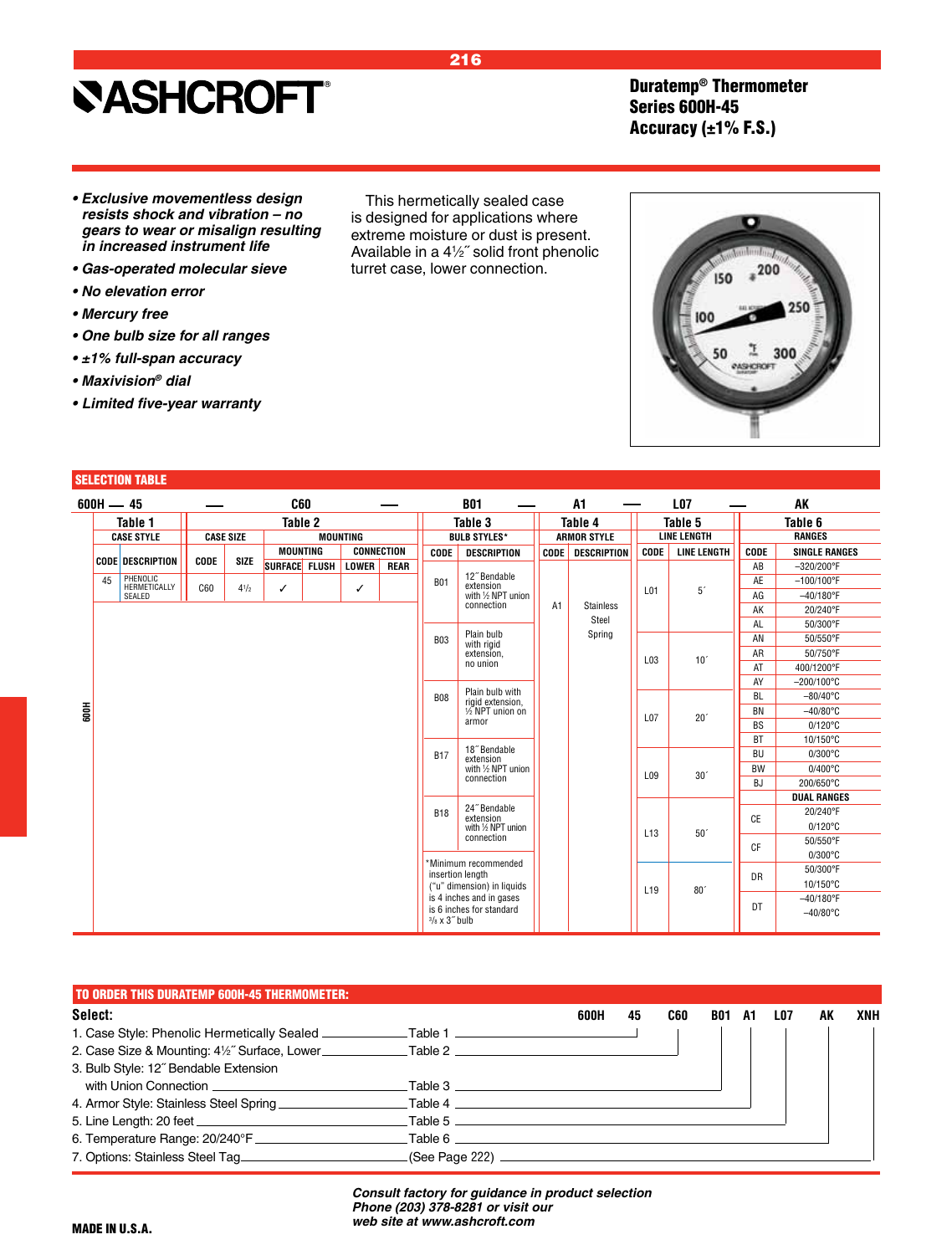### **SASHCROFT®**

Duratemp® Thermometer Series 600H-45 Accuracy (±1% F.S.)

- **Exclusive movementless design resists shock and vibration – no**  *gears to wear or misalign resulting in increased instrument life*
- **Gas-operated molecular sieve**
- **No elevation error**
- **Mercury free**
- **One bulb size for all ranges**
- **±1% full-span accuracy**
- **Maxivision***® dial*
- **• Limited five-year warranty**

SELECTION TABLE

| $600H - 45$ |                          |             |                  |                 | C60 |                 |                   |                                                   | <b>B01</b>                          |                | A1                 |                 | <b>LO7</b>         |             | AK                   |
|-------------|--------------------------|-------------|------------------|-----------------|-----|-----------------|-------------------|---------------------------------------------------|-------------------------------------|----------------|--------------------|-----------------|--------------------|-------------|----------------------|
|             | Table 1                  |             |                  | Table 2         |     |                 |                   |                                                   | Table 3                             |                | Table 4            |                 | Table 5            |             | Table 6              |
|             | <b>CASE STYLE</b>        |             | <b>CASE SIZE</b> |                 |     | <b>MOUNTING</b> |                   |                                                   | <b>BULB STYLES*</b>                 |                | <b>ARMOR STYLE</b> |                 | <b>LINE LENGTH</b> |             | <b>RANGES</b>        |
|             |                          |             |                  | <b>MOUNTING</b> |     |                 | <b>CONNECTION</b> | <b>CODE</b>                                       | <b>DESCRIPTION</b>                  | <b>CODE</b>    | <b>DESCRIPTION</b> | <b>CODE</b>     | <b>LINE LENGTH</b> | <b>CODE</b> | <b>SINGLE RANGES</b> |
|             | <b>CODE DESCRIPTION</b>  | <b>CODE</b> | <b>SIZE</b>      | SURFACE FLUSH   |     | <b>LOWER</b>    | <b>REAR</b>       |                                                   |                                     |                |                    |                 |                    | AB          | $-320/200^{\circ}$ F |
| 45          | PHENOLIC<br>HERMETICALLY | C60         | $4^{1/2}$        | ✓               |     |                 |                   | <b>B01</b>                                        | 12" Bendable<br>extension           |                |                    |                 |                    | AE          | $-100/100^{\circ}$ F |
|             | SEALED                   |             |                  |                 |     | ✓               |                   |                                                   | with 1/2 NPT union                  |                |                    | L01             | 5 <sup>′</sup>     | AG          | $-40/180^{\circ}$ F  |
|             |                          |             |                  |                 |     |                 |                   |                                                   | connection                          | A <sub>1</sub> | <b>Stainless</b>   |                 |                    | AK          | 20/240°F             |
|             |                          |             |                  |                 |     |                 |                   |                                                   |                                     |                | Steel              |                 |                    | AL          | 50/300°F             |
|             |                          |             |                  |                 |     |                 |                   | <b>B03</b>                                        | Plain bulb<br>with rigid            |                | Spring             |                 |                    | AN          | 50/550°F             |
|             |                          |             |                  |                 |     |                 |                   |                                                   | extension.                          |                |                    | L03             | 10 <sup>7</sup>    | AR          | 50/750°F             |
|             |                          |             |                  |                 |     |                 |                   |                                                   | no union                            |                |                    |                 |                    | AT          | 400/1200°F           |
|             |                          |             |                  |                 |     |                 |                   |                                                   |                                     |                |                    |                 |                    | AY          | $-200/100^{\circ}$ C |
|             |                          |             |                  |                 |     |                 |                   | <b>B08</b>                                        | Plain bulb with<br>rigid extension, |                |                    |                 |                    | <b>BL</b>   | $-80/40^{\circ}$ C   |
|             |                          |             |                  |                 |     |                 |                   | armor                                             | 1/2 NPT union on                    |                |                    | L07             | 20 <sup>′</sup>    | <b>BN</b>   | $-40/80^{\circ}$ C   |
|             |                          |             |                  |                 |     |                 |                   |                                                   |                                     |                |                    |                 |                    | <b>BS</b>   | $0/120^{\circ}$ C    |
|             |                          |             |                  |                 |     |                 |                   |                                                   |                                     |                |                    |                 |                    | <b>BT</b>   | 10/150°C             |
|             |                          |             |                  |                 |     |                 |                   | <b>B17</b>                                        | 18" Bendable<br>extension           |                |                    |                 |                    | <b>BU</b>   | $0/300^{\circ}$ C    |
|             |                          |             |                  |                 |     |                 |                   |                                                   | with 1/2 NPT union<br>connection    |                |                    | L09             | 30 <sup>′</sup>    | <b>BW</b>   | $0/400^{\circ}$ C    |
|             |                          |             |                  |                 |     |                 |                   |                                                   |                                     |                |                    |                 |                    | <b>BJ</b>   | 200/650°C            |
|             |                          |             |                  |                 |     |                 |                   |                                                   | 24" Bendable                        |                |                    |                 |                    |             | <b>DUAL RANGES</b>   |
|             |                          |             |                  |                 |     |                 |                   | <b>B18</b>                                        | extension                           |                |                    |                 |                    | <b>CE</b>   | 20/240°F             |
|             |                          |             |                  |                 |     |                 |                   |                                                   | with 1/2 NPT union                  |                |                    | L13             | 50 <sup>′</sup>    |             | $0/120^{\circ}$ C    |
|             |                          |             |                  |                 |     |                 |                   |                                                   | connection                          |                |                    |                 |                    | CF          | 50/550°F             |
|             |                          |             |                  |                 |     |                 |                   |                                                   | *Minimum recommended                |                |                    |                 |                    |             | $0/300^{\circ}$ C    |
|             |                          |             |                  |                 |     |                 |                   |                                                   | insertion length                    |                |                    |                 |                    | DR          | 50/300°F             |
|             |                          |             |                  |                 |     |                 |                   | is 6 inches for standard<br>$3/s \times 3$ " bulb | ("u" dimension) in liquids          |                |                    | L <sub>19</sub> | 80 <sup>°</sup>    |             | 10/150°C             |
|             |                          |             |                  |                 |     |                 |                   |                                                   | is 4 inches and in gases            |                |                    |                 |                    | DT          | $-40/180^{\circ}$ F  |
|             |                          |             |                  |                 |     |                 |                   |                                                   |                                     |                |                    |                 |                    |             | $-40/80^{\circ}$ C   |

| <b>TO ORDER THIS DURATEMP 600H-45 THERMOMETER:</b>                                |                              |      |    |     |            |     |     |    |     |
|-----------------------------------------------------------------------------------|------------------------------|------|----|-----|------------|-----|-----|----|-----|
| Select:                                                                           |                              | 600H | 45 | C60 | <b>B01</b> | -A1 | LO7 | AK | XNH |
| 1. Case Style: Phenolic Hermetically Sealed ____________Table 1 _________________ |                              |      |    |     |            |     |     |    |     |
|                                                                                   |                              |      |    |     |            |     |     |    |     |
| 3. Bulb Style: 12" Bendable Extension                                             |                              |      |    |     |            |     |     |    |     |
|                                                                                   |                              |      |    |     |            |     |     |    |     |
|                                                                                   |                              |      |    |     |            |     |     |    |     |
|                                                                                   |                              |      |    |     |            |     |     |    |     |
| 6. Temperature Range: 20/240°F _____________________________Table 6 _____________ |                              |      |    |     |            |     |     |    |     |
| 7. Options: Stainless Steel Tag                                                   | (See Page 222) _____________ |      |    |     |            |     |     |    |     |

*Consult factory for guidance in product selection Phone (203) 378-8281 or visit our web site at www.ashcroft.com*



216

This hermetically sealed case is designed for applications where extreme moisture or dust is present. Available in a 41 ⁄2˝ solid front phenolic turret case, lower connection.

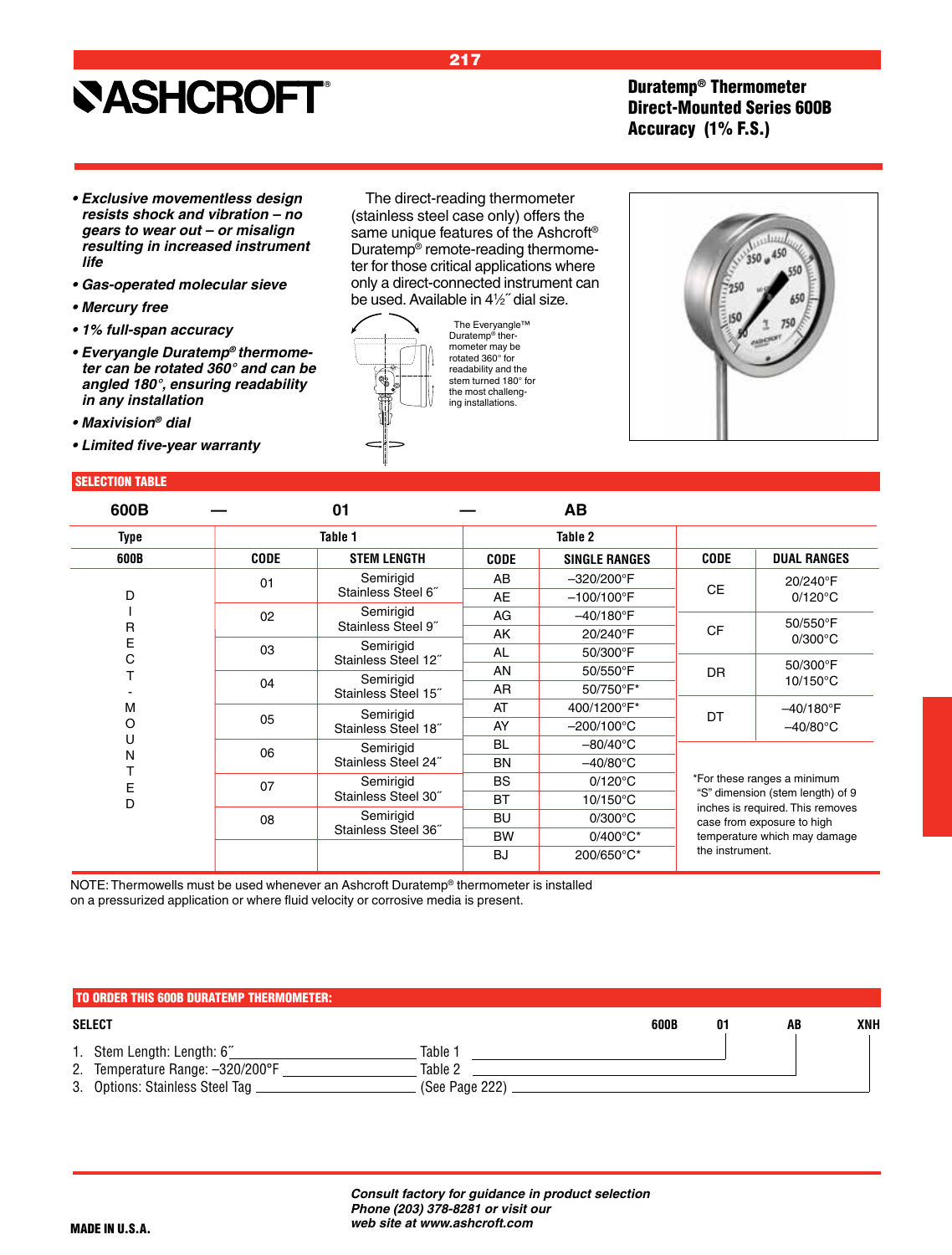### Duratemp® Thermometer Direct-Mounted Series 600B Accuracy (1% F.S.)

- **Exclusive movementless design resists shock and vibration – no gears to wear out – or misalign**  *resulting in increased instrument life*
- **Gas-operated molecular sieve**
- **Mercury free**
- **1% full-span accuracy**
- **Everyangle Duratemp***® thermome***ter can be rotated 360° and can be angled 180°, ensuring readability**  *in any installation*
- **Maxivision***® dial*
- **Limited five-year warranty**

#### SELECTION TABLE

The direct-reading thermometer (stainless steel case only) offers the same unique features of the Ashcroft® Duratemp® remote-reading thermometer for those critical applications where only a direct-connected instrument can be used. Available in 41 ⁄2˝ dial size.

217



The Everyangle™ Duratemp® thermometer may be rotated 360° for readability and the stem turned 180° for the most challenging installations.



| 600B   |             | 01                               |             | AB                   |                              |                                                                      |  |  |
|--------|-------------|----------------------------------|-------------|----------------------|------------------------------|----------------------------------------------------------------------|--|--|
| Type   |             | Table 1                          |             | Table 2              |                              |                                                                      |  |  |
| 600B   | <b>CODE</b> | <b>STEM LENGTH</b>               | <b>CODE</b> | <b>SINGLE RANGES</b> | <b>CODE</b>                  | <b>DUAL RANGES</b>                                                   |  |  |
|        | 01          | Semirigid                        | AB          | $-320/200^{\circ}$ F |                              | 20/240°F                                                             |  |  |
| D      |             | Stainless Steel 6"               | <b>AE</b>   | $-100/100^{\circ}$ F | <b>CE</b>                    | $0/120^{\circ}$ C                                                    |  |  |
|        | 02          | Semirigid                        | AG          | $-40/180$ °F         |                              | 50/550°F                                                             |  |  |
| R<br>Е |             | Stainless Steel 9"               | AK          | 20/240°F             | <b>CF</b>                    | $0/300^{\circ}$ C                                                    |  |  |
| С      | 03          | Semirigid<br>Stainless Steel 12" | AL          | 50/300°F             |                              |                                                                      |  |  |
|        |             | Semirigid                        | AN          | 50/550°F             | DR.                          | 50/300°F                                                             |  |  |
|        | 04          | Stainless Steel 15"              | <b>AR</b>   | 50/750°F*            |                              | $10/150^{\circ}$ C                                                   |  |  |
| M      |             | Semirigid                        | AT          | 400/1200°F*          | DT                           | $-40/180$ °F                                                         |  |  |
| O      | 05          | Stainless Steel 18"              | AY          | $-200/100^{\circ}$ C |                              | $-40/80^{\circ}$ C                                                   |  |  |
| U      | 06          | Semirigid                        | <b>BL</b>   | $-80/40^{\circ}$ C   |                              |                                                                      |  |  |
| N      |             | Stainless Steel 24"              | <b>BN</b>   | $-40/80^{\circ}$ C   |                              |                                                                      |  |  |
| Е      | 07          | Semirigid                        | <b>BS</b>   | $0/120^{\circ}$ C    |                              | *For these ranges a minimum                                          |  |  |
| D      |             | Stainless Steel 30"              | <b>BT</b>   | $10/150^{\circ}$ C   |                              | "S" dimension (stem length) of 9<br>inches is required. This removes |  |  |
|        | 08          | Semirigid                        | <b>BU</b>   | $0/300^{\circ}$ C    |                              | case from exposure to high                                           |  |  |
|        |             | Stainless Steel 36"              | <b>BW</b>   | $0/400^{\circ}C^{*}$ | temperature which may damage |                                                                      |  |  |
|        |             |                                  | <b>BJ</b>   | 200/650°C*           | the instrument.              |                                                                      |  |  |

NOTE: Thermowells must be used whenever an Ashcroft Duratemp® thermometer is installed on a pressurized application or where fluid velocity or corrosive media is present.

### **SELECT 600B 01 AB XNH** 1. Stem Length: Length: 6˝ Table 1 2. Temperature Range: -320/200°F [Case of the 2011] Table 2 3. Options: Stainless Steel Tag \_\_\_\_\_\_\_\_\_\_\_\_\_\_\_\_\_\_\_\_\_\_\_\_(See Page 222). TO ORDER THIS 600B DURATEMP THERMOMETER:

*Consult factory for guidance in product selection Phone (203) 378-8281 or visit our web site at www.ashcroft.com*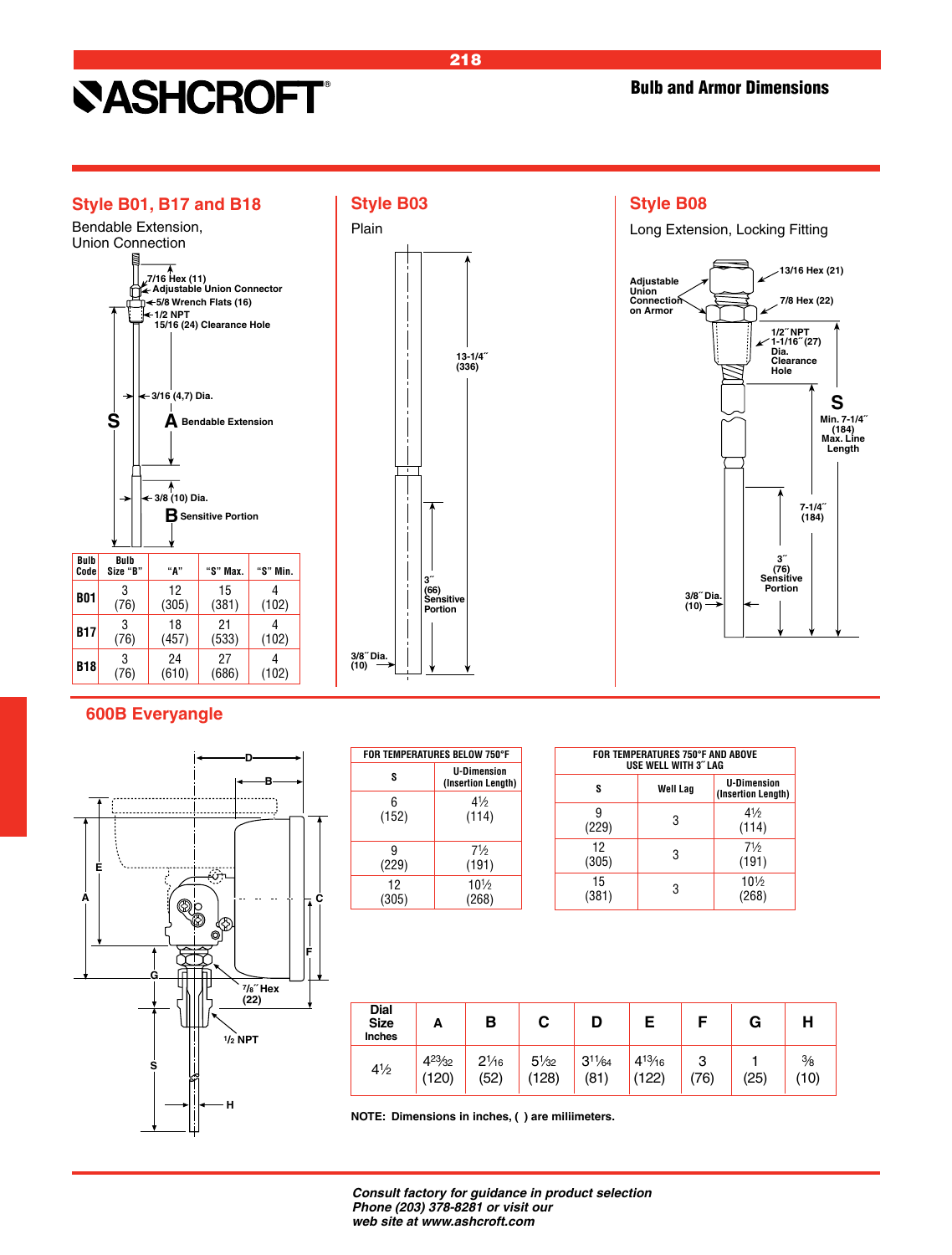



### **Style B08**

Long Extension, Locking Fitting



### **600B Everyangle**



| FOR TEMPERATURES BELOW 750°F |                                          |  |  |  |  |  |  |  |  |
|------------------------------|------------------------------------------|--|--|--|--|--|--|--|--|
| s                            | <b>U-Dimension</b><br>(Insertion Length) |  |  |  |  |  |  |  |  |
| 6                            | 41/2                                     |  |  |  |  |  |  |  |  |
| (152)                        | (114)                                    |  |  |  |  |  |  |  |  |
| 9                            | 71/2                                     |  |  |  |  |  |  |  |  |
| (229)                        | (191)                                    |  |  |  |  |  |  |  |  |
| 12                           | $10\frac{1}{2}$                          |  |  |  |  |  |  |  |  |
| (305)                        | (268)                                    |  |  |  |  |  |  |  |  |

|             | FOR TEMPERATURES 750°F AND ABOVE<br><b>USE WELL WITH 3" LAG</b> |                                          |
|-------------|-----------------------------------------------------------------|------------------------------------------|
| s           | Well Lag                                                        | <b>U-Dimension</b><br>(Insertion Length) |
| (229)       | 3                                                               | $4\frac{1}{2}$<br>(114)                  |
| 12<br>(305) | 3                                                               | 71/2<br>(191)                            |
| 15<br>(381) | 3                                                               | $10\frac{1}{2}$<br>(268)                 |

| <b>Dial</b><br><b>Size</b><br><b>Inches</b> | А                       | В                       |                        |                     |                         |               | G    | Н                    |
|---------------------------------------------|-------------------------|-------------------------|------------------------|---------------------|-------------------------|---------------|------|----------------------|
| $4\frac{1}{2}$                              | $4^{23}/_{32}$<br>(120) | $2\frac{1}{16}$<br>(52) | $5\frac{1}{32}$<br>128 | $3^{11}/64$<br>(81) | $4^{13}/_{16}$<br>(122) | ົ<br>J<br>76) | (25) | $\frac{3}{8}$<br>(10 |

**NOTE: Dimensions in inches, ( ) are miliimeters.**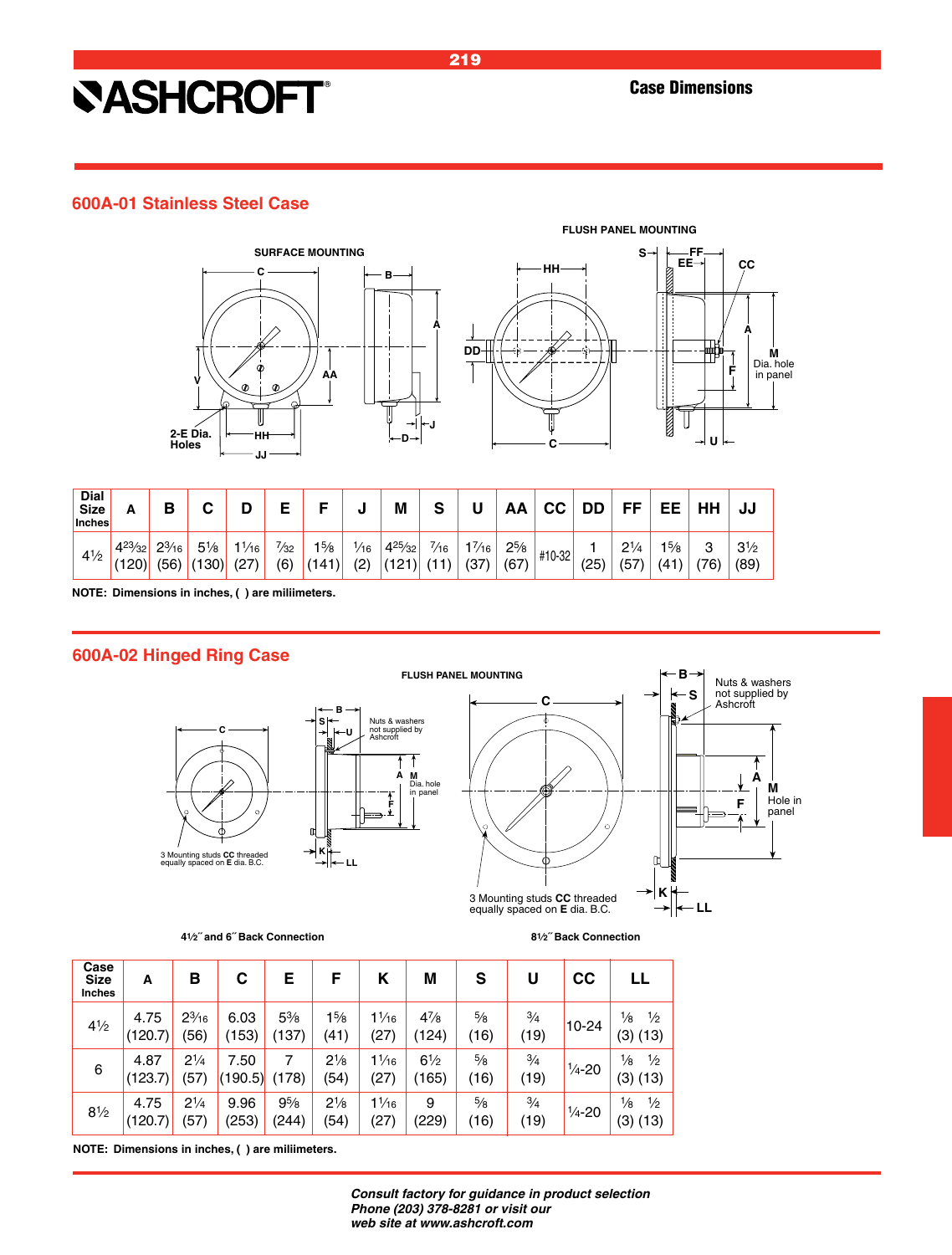### **600A-01 Stainless Steel Case**





| Dial<br>Size<br><b>Inches</b> | А                       | В                       |                         |                        |                       |                         | ш                     | M                       | S                      | U                       | AA                | СC     | DD   | EE               | EЕ           | HH       | JJ                     |
|-------------------------------|-------------------------|-------------------------|-------------------------|------------------------|-----------------------|-------------------------|-----------------------|-------------------------|------------------------|-------------------------|-------------------|--------|------|------------------|--------------|----------|------------------------|
| $4\frac{1}{2}$                | $4^{23}/_{32}$<br>(120) | $2\frac{3}{16}$<br>(56) | $5\frac{1}{8}$<br>(130) | $\frac{1}{16}$<br>(27) | $\frac{7}{32}$<br>(6) | $1\frac{5}{8}$<br>(141) | $\frac{1}{16}$<br>(2) | $4^{25}/_{32}$<br>(121) | $\frac{7}{16}$<br>(11) | $1\frac{7}{16}$<br>(37) | $2^{5/8}$<br>(67) | #10-32 | (25) | $2^{1/4}$<br>(57 | 15/8<br>(41) | ຈ<br>'76 | $3\frac{1}{2}$<br>(89) |

**NOTE: Dimensions in inches, ( ) are miliimeters.**

### **600A-02 Hinged Ring Case**





**41⁄2˝ and 6˝ Back Connection 81⁄2˝ Back Connection**

**A**

Nuts & washers not supplied by Ashcroft

> **M** Hole in panel

**F**

**S B**

**K**

 $\mathsf{r}$ 

**LL**

| Case<br><b>Size</b><br>Inches | A               | в                     | С               | Е                       | F                      | κ                       | М                       | S                     | U                     | cc                 | LL                                            |
|-------------------------------|-----------------|-----------------------|-----------------|-------------------------|------------------------|-------------------------|-------------------------|-----------------------|-----------------------|--------------------|-----------------------------------------------|
| $4^{1/2}$                     | 4.75<br>(120.7) | $2^{3}/_{16}$<br>(56) | 6.03<br>(153)   | $5\frac{3}{8}$<br>(137) | $1\frac{5}{8}$<br>(41) | $1\frac{1}{16}$<br>(27) | $4^{7}/_{8}$<br>(124)   | $\frac{5}{8}$<br>(16) | $\frac{3}{4}$<br>(19) | $10 - 24$          | $\frac{1}{2}$<br>$\frac{1}{8}$<br>(3) (13)    |
| 6                             | 4.87<br>(123.7) | $2^{1/4}$<br>(57)     | 7.50<br>(190.5) | 7<br>(178)              | $2^{1/8}$<br>(54)      | $1\frac{1}{16}$<br>(27) | $6\frac{1}{2}$<br>(165) | $\frac{5}{8}$<br>(16) | $\frac{3}{4}$<br>(19) | $\frac{1}{4} - 20$ | $\frac{1}{2}$<br>$\frac{1}{8}$<br>(3) (13)    |
| $8^{1/2}$                     | 4.75<br>(120.7) | $2^{1/4}$<br>(57)     | 9.96<br>(253)   | $9^{5}/_{8}$<br>(244)   | $2^{1/8}$<br>(54)      | $1\frac{1}{16}$<br>(27) | 9<br>(229)              | $\frac{5}{8}$<br>(16) | $\frac{3}{4}$<br>(19) | $\frac{1}{4} - 20$ | $\frac{1}{2}$<br>$\frac{1}{8}$<br>(3)<br>(13) |

**NOTE: Dimensions in inches, ( ) are miliimeters.**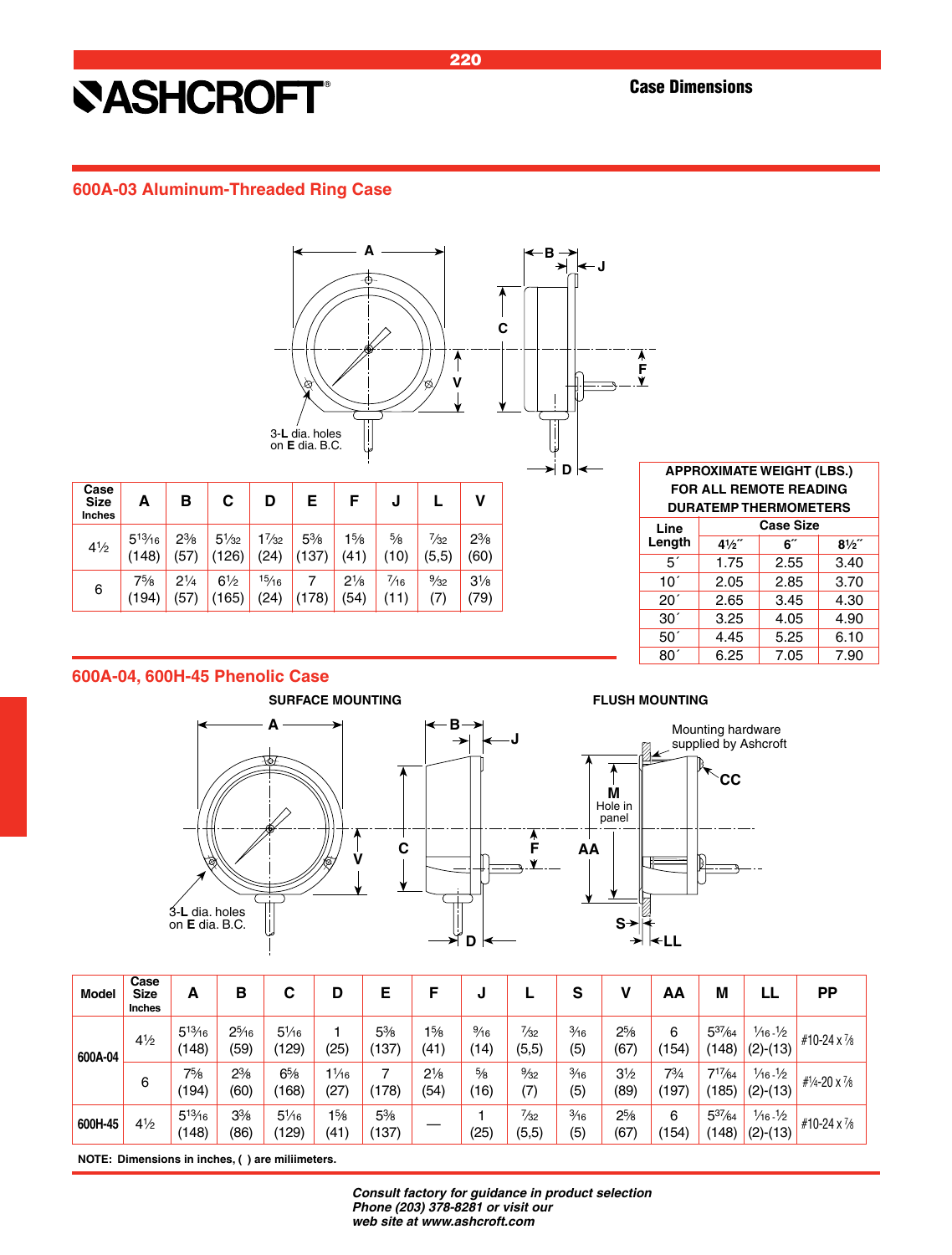### **600A-03 Aluminum-Threaded Ring Case**



| <b>FOR ALL REMOTE READING</b><br><b>DURATEMP THERMOMETERS</b> |                  |      |                |  |  |  |  |  |  |  |
|---------------------------------------------------------------|------------------|------|----------------|--|--|--|--|--|--|--|
| Line                                                          | <b>Case Size</b> |      |                |  |  |  |  |  |  |  |
| Length                                                        | $4\frac{1}{2}$   | 6″   | $8\frac{1}{2}$ |  |  |  |  |  |  |  |
| 5′                                                            | 1.75             | 2.55 | 3.40           |  |  |  |  |  |  |  |
| 10 <sup>′</sup>                                               | 2.05             | 2.85 | 3.70           |  |  |  |  |  |  |  |
| 20 <sup>′</sup>                                               | 2.65             | 3.45 | 4.30           |  |  |  |  |  |  |  |
| 30 <sup>′</sup>                                               | 3.25             | 4.05 | 4.90           |  |  |  |  |  |  |  |
| 50 <sup>′</sup>                                               | 4.45             | 5.25 | 6.10           |  |  |  |  |  |  |  |
| 80´                                                           | 6.25             | 7.05 | 7.90           |  |  |  |  |  |  |  |

**APPROXIMATE WEIGHT (LBS.)**

### **600A-04, 600H-45 Phenolic Case**

(194) (57) (165) (24) (178) (54) (11) (7) (79)

41⁄2

6





| <b>Model</b> | Case<br><b>Size</b><br><b>Inches</b> | А                   | в                      | С                        | D                       | Е                                  |                        | J                      |                          | S                     | V                      | ΑА                | M                    | LL                                          | <b>PP</b>               |
|--------------|--------------------------------------|---------------------|------------------------|--------------------------|-------------------------|------------------------------------|------------------------|------------------------|--------------------------|-----------------------|------------------------|-------------------|----------------------|---------------------------------------------|-------------------------|
| 600A-04      | $4^{1/2}$                            | $5^{13}/16$<br>(48) | $2^{5}/16$<br>(59)     | $5\frac{1}{16}$<br>(129) | (25)                    | $5\frac{3}{8}$<br>$^{\prime}$ 137) | $1\frac{5}{8}$<br>(41) | $\frac{9}{16}$<br>(14) | $\frac{7}{32}$<br>(5,5)  | $\frac{3}{16}$<br>(5) | $2^{5/8}$<br>(67       | 6<br>(154         | $5^{37}/64$<br>(148) | $\frac{1}{6}$ - $\frac{1}{2}$<br>$(2)-(13)$ | #10-24 $\times$ 7/8     |
|              | 6                                    | 75/8<br>(194)       | $2\frac{3}{8}$<br>(60) | $6\frac{5}{8}$<br>(168)  | $1\frac{1}{16}$<br>(27) | 7<br>78)                           | $2\frac{1}{8}$<br>(54) | $\frac{5}{8}$<br>(16)  | $\frac{9}{32}$<br>(7)    | $\frac{3}{16}$<br>(5) | $3\frac{1}{2}$<br>(89) | $7^{3}/4$<br>(197 | $7^{17}/64$<br>(185) | $\frac{1}{6}$ - $\frac{1}{2}$<br>$(2)-(13)$ | # $1/4 - 20 \times 7/8$ |
| 600H-45      | 4½                                   | $5^{13}/16$<br>148) | $3\frac{3}{8}$<br>(86) | $5\frac{1}{16}$<br>(129) | $1\frac{5}{8}$<br>(41)  | $5\%$<br>(137)                     |                        | (25)                   | $\frac{7}{32}$<br>(5, 5) | $\frac{3}{16}$<br>(5) | $2^{5/8}$<br>(67)      | 6<br>(154         | $5^{37}/64$<br>(148) | $\frac{1}{6}$ - $\frac{1}{2}$<br>$(2)-(13)$ | #10-24 x 7/8            |

**NOTE: Dimensions in inches, ( ) are miliimeters.**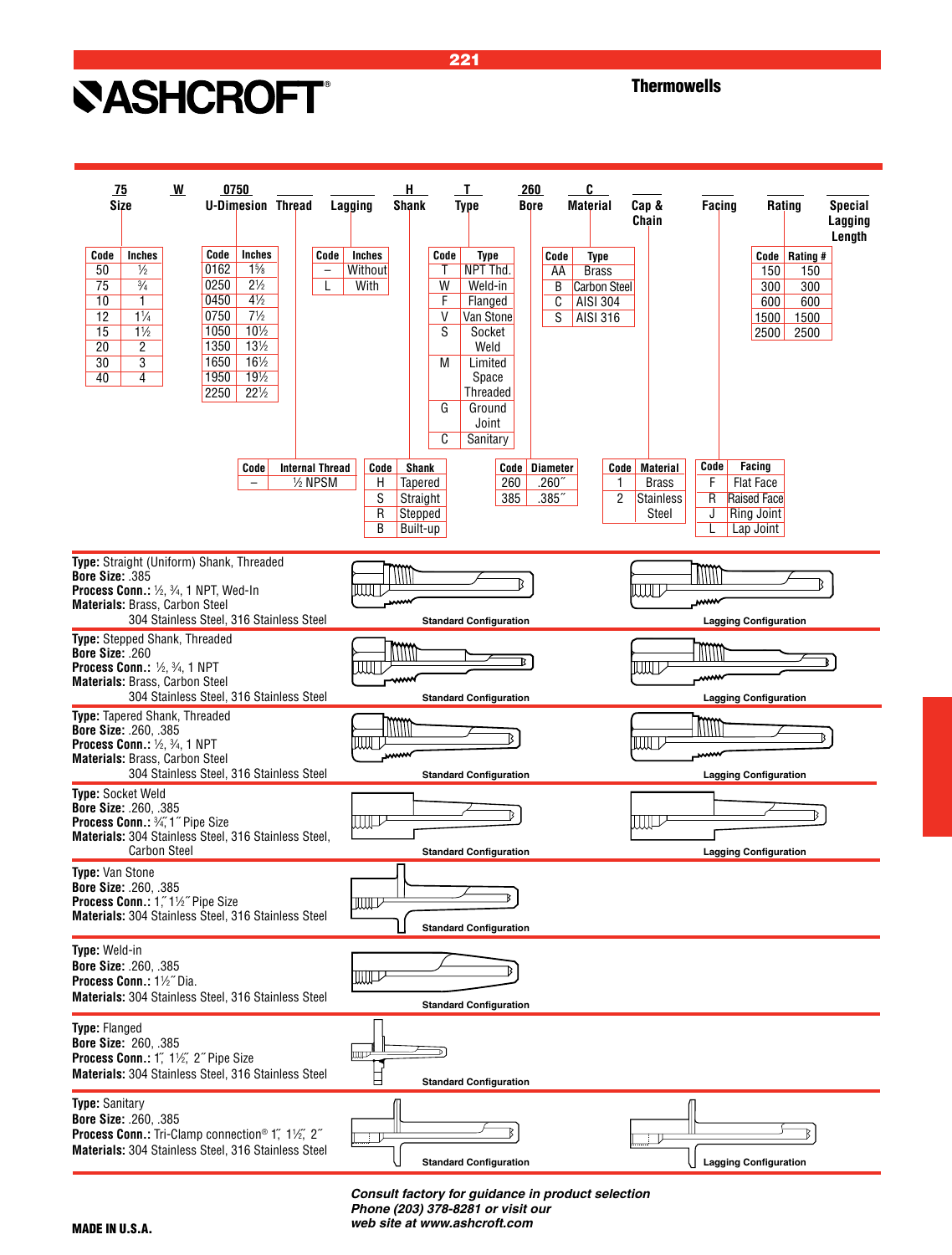**Thermowells** 



221

*Consult factory for guidance in product selection Phone (203) 378-8281 or visit our web site at www.ashcroft.com*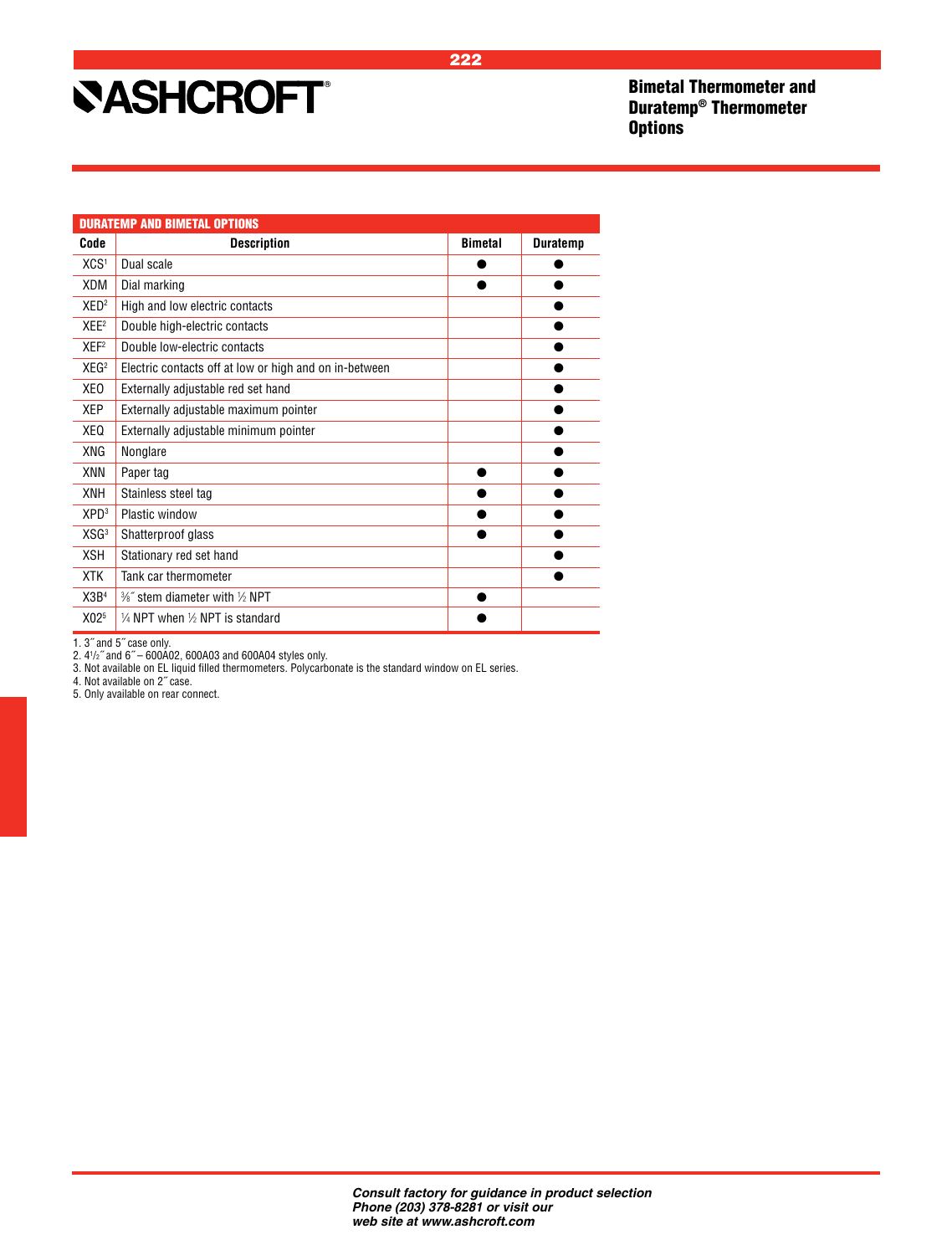Bimetal Thermometer and Duratemp® Thermometer **Options** 

|                  | <b>DURATEMP AND BIMETAL OPTIONS</b>                    |                |                 |
|------------------|--------------------------------------------------------|----------------|-----------------|
| Code             | <b>Description</b>                                     | <b>Bimetal</b> | <b>Duratemp</b> |
| XCS <sup>1</sup> | Dual scale                                             |                |                 |
| XDM              | Dial marking                                           |                |                 |
| XED <sup>2</sup> | High and low electric contacts                         |                |                 |
| XEE <sup>2</sup> | Double high-electric contacts                          |                |                 |
| XEF <sup>2</sup> | Double low-electric contacts                           |                |                 |
| XEG <sup>2</sup> | Electric contacts off at low or high and on in-between |                |                 |
| XEO              | Externally adjustable red set hand                     |                |                 |
| XEP              | Externally adjustable maximum pointer                  |                |                 |
| XEQ              | Externally adjustable minimum pointer                  |                |                 |
| XNG              | Nonglare                                               |                |                 |
| XNN              | Paper tag                                              |                |                 |
| <b>XNH</b>       | Stainless steel tag                                    |                |                 |
| XPD <sup>3</sup> | Plastic window                                         |                |                 |
| XSG <sup>3</sup> | Shatterproof glass                                     |                |                 |
| <b>XSH</b>       | Stationary red set hand                                |                |                 |
| <b>XTK</b>       | Tank car thermometer                                   |                |                 |
| X3B <sup>4</sup> | $\frac{3}{8}$ " stem diameter with $\frac{1}{2}$ NPT   |                |                 |
| X02 <sup>5</sup> | $\frac{1}{4}$ NPT when $\frac{1}{2}$ NPT is standard   |                |                 |

1. 3˝ and 5˝ case only. 2. 41 /2˝ and 6˝ – 600A02, 600A03 and 600A04 styles only.

3. Not available on EL liquid filled thermometers. Polycarbonate is the standard window on EL series.

4. Not available on 2˝ case.

5. Only available on rear connect.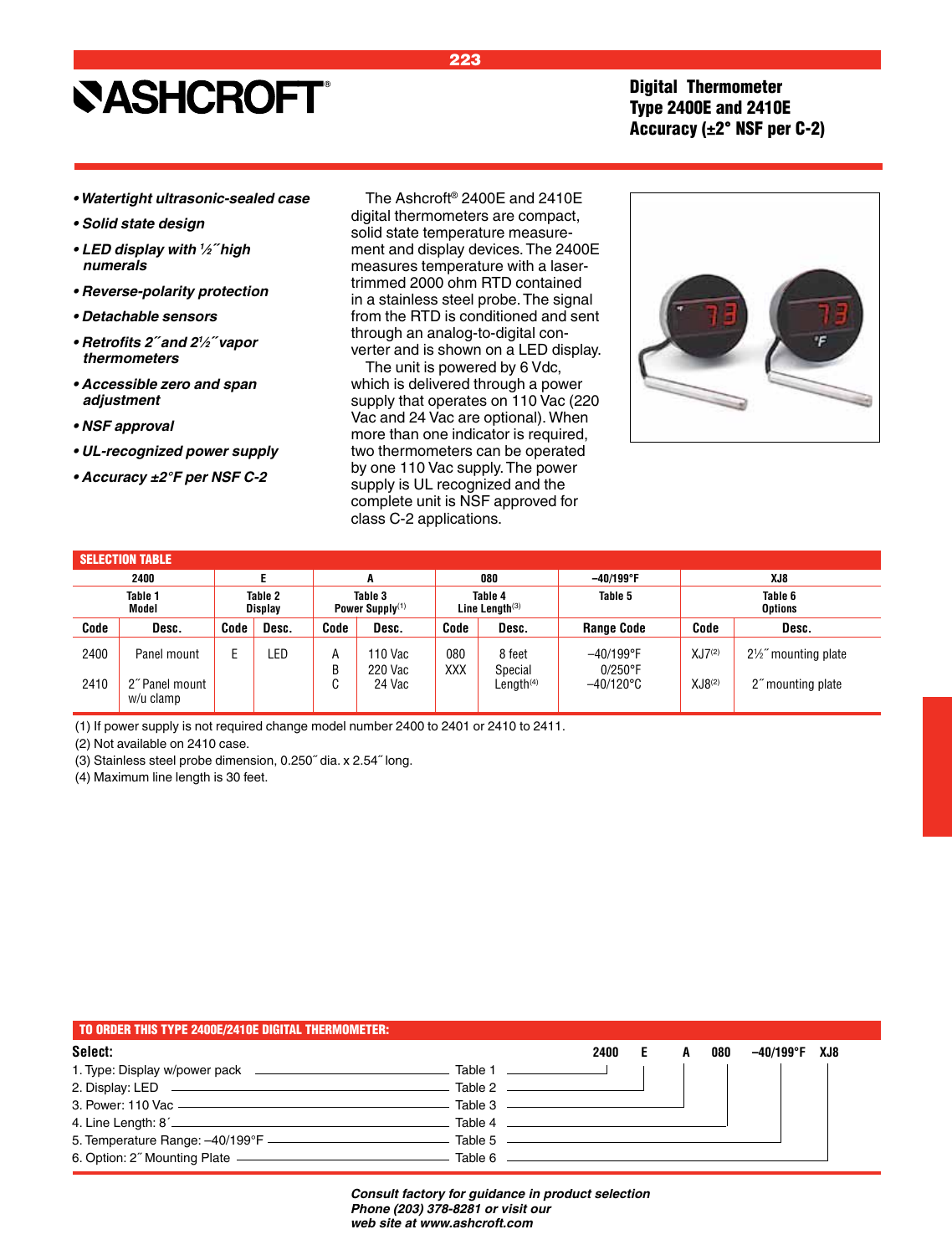### Digital Thermometer Type 2400E and 2410E Accuracy (±2° NSF per C-2)

- **Watertight ultrasonic-sealed case**
- **Solid state design**
- **LED display with** *<sup>1</sup> ⁄2˝ high numerals*
- **Reverse-polarity protection**
- **Detachable sensors**
- **Retrofits 2˝ and 2***<sup>1</sup> ⁄2˝ vapor thermometers*
- **Accessible zero and span adjustment**
- **NSF approval**
- **UL-recognized power supply**
- **Accuracy ±2°F per NSF C-2**

The Ashcroft® 2400E and 2410E digital thermometers are compact, solid state temperature measurement and display devices. The 2400E measures temperature with a lasertrimmed 2000 ohm RTD contained in a stainless steel probe. The signal from the RTD is conditioned and sent through an analog-to-digital converter and is shown on a LED display.

The unit is powered by 6 Vdc, which is delivered through a power supply that operates on 110 Vac (220 Vac and 24 Vac are optional). When more than one indicator is required, two thermometers can be operated by one 110 Vac supply. The power supply is UL recognized and the complete unit is NSF approved for class C-2 applications.



#### SELECTION TABLE

|                  | 2400                        |                           |       |                               | А                  |                              | 080                   | $-40/199^{\circ}$ F        |                    | XJ8                |  |
|------------------|-----------------------------|---------------------------|-------|-------------------------------|--------------------|------------------------------|-----------------------|----------------------------|--------------------|--------------------|--|
| Table 1<br>Model |                             | Table 2<br><b>Display</b> |       | Table 3<br>Power Supply $(1)$ |                    | Table 4<br>Line Length $(3)$ |                       | Table 5                    | Table 6<br>Options |                    |  |
| Code             | Desc.                       | Code                      | Desc. | Code                          | Desc.              | Code                         | Desc.                 | <b>Range Code</b>          | Code               | Desc.              |  |
| 2400             | Panel mount                 |                           | .ED   | Α<br>В                        | 110 Vac<br>220 Vac | 080<br>XXX                   | 8 feet<br>Special     | $-40/199$ °F<br>$0/250$ °F | $XJ7^{(2)}$        | 2½" mounting plate |  |
| 2410             | 2" Panel mount<br>w/u clamp |                           |       | ⌒<br>U                        | 24 Vac             |                              | Length <sup>(4)</sup> | $-40/120^{\circ}$ C        | XJB <sup>(2)</sup> | 2" mounting plate  |  |

(1) If power supply is not required change model number 2400 to 2401 or 2410 to 2411.

(2) Not available on 2410 case.

(3) Stainless steel probe dimension, 0.250˝ dia. x 2.54˝ long.

(4) Maximum line length is 30 feet.

| TO ORDER THIS TYPE 2400E/2410E DIGITAL THERMOMETER: |                     |      |   |     |               |  |
|-----------------------------------------------------|---------------------|------|---|-----|---------------|--|
| Select:                                             |                     | 2400 | A | 080 | -40/199°F XJ8 |  |
|                                                     |                     |      |   |     |               |  |
|                                                     |                     |      |   |     |               |  |
| 3. Power: 110 Vac ————————————————————              | Table 3 ——————————— |      |   |     |               |  |
|                                                     |                     |      |   |     |               |  |
|                                                     |                     |      |   |     |               |  |
| 6. Option: 2" Mounting Plate ———————————————————    |                     |      |   |     |               |  |

*Consult factory for guidance in product selection Phone (203) 378-8281 or visit our web site at www.ashcroft.com*